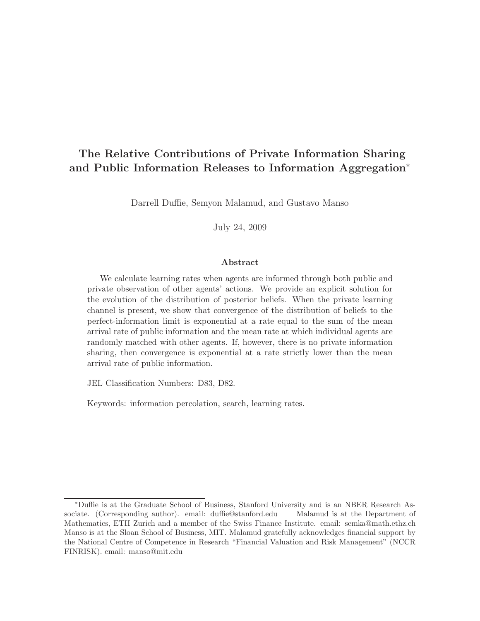# The Relative Contributions of Private Information Sharing and Public Information Releases to Information Aggregation ∗

Darrell Duffie, Semyon Malamud, and Gustavo Manso

July 24, 2009

#### Abstract

We calculate learning rates when agents are informed through both public and private observation of other agents' actions. We provide an explicit solution for the evolution of the distribution of posterior beliefs. When the private learning channel is present, we show that convergence of the distribution of beliefs to the perfect-information limit is exponential at a rate equal to the sum of the mean arrival rate of public information and the mean rate at which individual agents are randomly matched with other agents. If, however, there is no private information sharing, then convergence is exponential at a rate strictly lower than the mean arrival rate of public information.

JEL Classification Numbers: D83, D82.

Keywords: information percolation, search, learning rates.

<sup>∗</sup>Duffie is at the Graduate School of Business, Stanford University and is an NBER Research Associate. (Corresponding author). email: duffie@stanford.edu Malamud is at the Department of Mathematics, ETH Zurich and a member of the Swiss Finance Institute. email: semka@math.ethz.ch Manso is at the Sloan School of Business, MIT. Malamud gratefully acknowledges financial support by the National Centre of Competence in Research "Financial Valuation and Risk Management" (NCCR FINRISK). email: manso@mit.edu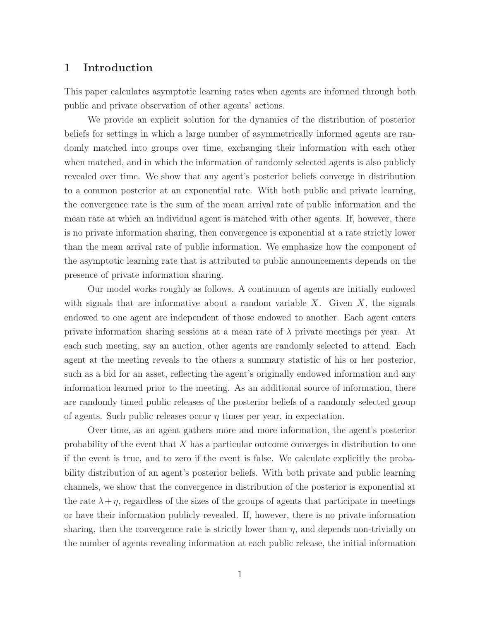### 1 Introduction

This paper calculates asymptotic learning rates when agents are informed through both public and private observation of other agents' actions.

We provide an explicit solution for the dynamics of the distribution of posterior beliefs for settings in which a large number of asymmetrically informed agents are randomly matched into groups over time, exchanging their information with each other when matched, and in which the information of randomly selected agents is also publicly revealed over time. We show that any agent's posterior beliefs converge in distribution to a common posterior at an exponential rate. With both public and private learning, the convergence rate is the sum of the mean arrival rate of public information and the mean rate at which an individual agent is matched with other agents. If, however, there is no private information sharing, then convergence is exponential at a rate strictly lower than the mean arrival rate of public information. We emphasize how the component of the asymptotic learning rate that is attributed to public announcements depends on the presence of private information sharing.

Our model works roughly as follows. A continuum of agents are initially endowed with signals that are informative about a random variable  $X$ . Given  $X$ , the signals endowed to one agent are independent of those endowed to another. Each agent enters private information sharing sessions at a mean rate of  $\lambda$  private meetings per year. At each such meeting, say an auction, other agents are randomly selected to attend. Each agent at the meeting reveals to the others a summary statistic of his or her posterior, such as a bid for an asset, reflecting the agent's originally endowed information and any information learned prior to the meeting. As an additional source of information, there are randomly timed public releases of the posterior beliefs of a randomly selected group of agents. Such public releases occur  $\eta$  times per year, in expectation.

Over time, as an agent gathers more and more information, the agent's posterior probability of the event that  $X$  has a particular outcome converges in distribution to one if the event is true, and to zero if the event is false. We calculate explicitly the probability distribution of an agent's posterior beliefs. With both private and public learning channels, we show that the convergence in distribution of the posterior is exponential at the rate  $\lambda + \eta$ , regardless of the sizes of the groups of agents that participate in meetings or have their information publicly revealed. If, however, there is no private information sharing, then the convergence rate is strictly lower than  $\eta$ , and depends non-trivially on the number of agents revealing information at each public release, the initial information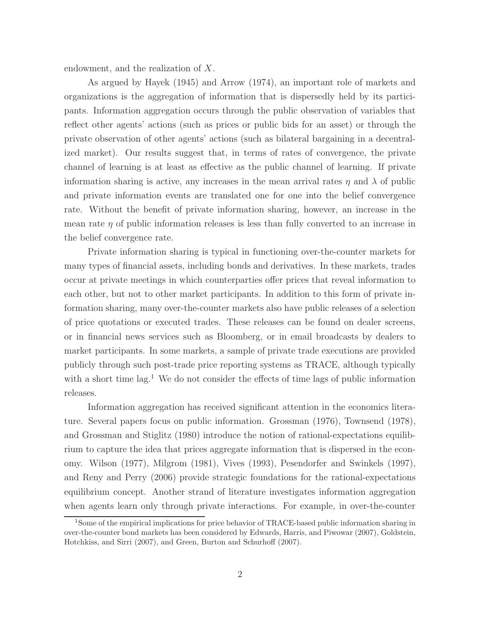endowment, and the realization of X.

As argued by Hayek (1945) and Arrow (1974), an important role of markets and organizations is the aggregation of information that is dispersedly held by its participants. Information aggregation occurs through the public observation of variables that reflect other agents' actions (such as prices or public bids for an asset) or through the private observation of other agents' actions (such as bilateral bargaining in a decentralized market). Our results suggest that, in terms of rates of convergence, the private channel of learning is at least as effective as the public channel of learning. If private information sharing is active, any increases in the mean arrival rates  $\eta$  and  $\lambda$  of public and private information events are translated one for one into the belief convergence rate. Without the benefit of private information sharing, however, an increase in the mean rate  $\eta$  of public information releases is less than fully converted to an increase in the belief convergence rate.

Private information sharing is typical in functioning over-the-counter markets for many types of financial assets, including bonds and derivatives. In these markets, trades occur at private meetings in which counterparties offer prices that reveal information to each other, but not to other market participants. In addition to this form of private information sharing, many over-the-counter markets also have public releases of a selection of price quotations or executed trades. These releases can be found on dealer screens, or in financial news services such as Bloomberg, or in email broadcasts by dealers to market participants. In some markets, a sample of private trade executions are provided publicly through such post-trade price reporting systems as TRACE, although typically with a short time  $lag<sup>1</sup>$ . We do not consider the effects of time lags of public information releases.

Information aggregation has received significant attention in the economics literature. Several papers focus on public information. Grossman (1976), Townsend (1978), and Grossman and Stiglitz (1980) introduce the notion of rational-expectations equilibrium to capture the idea that prices aggregate information that is dispersed in the economy. Wilson (1977), Milgrom (1981), Vives (1993), Pesendorfer and Swinkels (1997), and Reny and Perry (2006) provide strategic foundations for the rational-expectations equilibrium concept. Another strand of literature investigates information aggregation when agents learn only through private interactions. For example, in over-the-counter

<sup>&</sup>lt;sup>1</sup>Some of the empirical implications for price behavior of TRACE-based public information sharing in over-the-counter bond markets has been considered by Edwards, Harris, and Piwowar (2007), Goldstein, Hotchkiss, and Sirri (2007), and Green, Burton and Schurhoff (2007).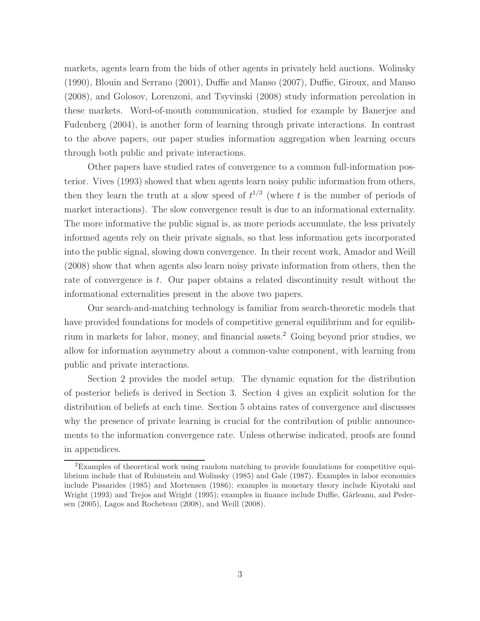markets, agents learn from the bids of other agents in privately held auctions. Wolinsky (1990), Blouin and Serrano (2001), Duffie and Manso (2007), Duffie, Giroux, and Manso (2008), and Golosov, Lorenzoni, and Tsyvinski (2008) study information percolation in these markets. Word-of-mouth communication, studied for example by Banerjee and Fudenberg (2004), is another form of learning through private interactions. In contrast to the above papers, our paper studies information aggregation when learning occurs through both public and private interactions.

Other papers have studied rates of convergence to a common full-information posterior. Vives (1993) showed that when agents learn noisy public information from others, then they learn the truth at a slow speed of  $t^{1/3}$  (where t is the number of periods of market interactions). The slow convergence result is due to an informational externality. The more informative the public signal is, as more periods accumulate, the less privately informed agents rely on their private signals, so that less information gets incorporated into the public signal, slowing down convergence. In their recent work, Amador and Weill (2008) show that when agents also learn noisy private information from others, then the rate of convergence is  $t$ . Our paper obtains a related discontinuity result without the informational externalities present in the above two papers.

Our search-and-matching technology is familiar from search-theoretic models that have provided foundations for models of competitive general equilibrium and for equilibrium in markets for labor, money, and financial assets.<sup>2</sup> Going beyond prior studies, we allow for information asymmetry about a common-value component, with learning from public and private interactions.

Section 2 provides the model setup. The dynamic equation for the distribution of posterior beliefs is derived in Section 3. Section 4 gives an explicit solution for the distribution of beliefs at each time. Section 5 obtains rates of convergence and discusses why the presence of private learning is crucial for the contribution of public announcements to the information convergence rate. Unless otherwise indicated, proofs are found in appendices.

<sup>2</sup>Examples of theoretical work using random matching to provide foundations for competitive equilibrium include that of Rubinstein and Wolinsky (1985) and Gale (1987). Examples in labor economics include Pissarides (1985) and Mortensen (1986); examples in monetary theory include Kiyotaki and Wright (1993) and Trejos and Wright (1995); examples in finance include Duffie, Gârleanu, and Pedersen (2005), Lagos and Rocheteau (2008), and Weill (2008).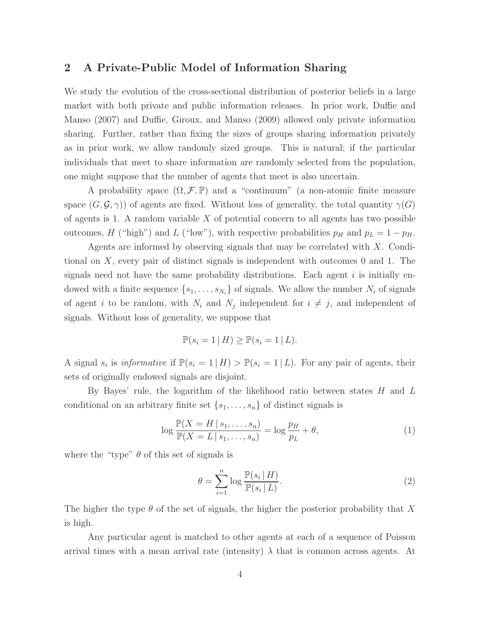### 2 A Private-Public Model of Information Sharing

We study the evolution of the cross-sectional distribution of posterior beliefs in a large market with both private and public information releases. In prior work, Duffie and Manso (2007) and Duffie, Giroux, and Manso (2009) allowed only private information sharing. Further, rather than fixing the sizes of groups sharing information privately as in prior work, we allow randomly sized groups. This is natural; if the particular individuals that meet to share information are randomly selected from the population, one might suppose that the number of agents that meet is also uncertain.

A probability space  $(\Omega, \mathcal{F}, \mathbb{P})$  and a "continuum" (a non-atomic finite measure space  $(G, \mathcal{G}, \gamma)$  of agents are fixed. Without loss of generality, the total quantity  $\gamma(G)$ of agents is 1. A random variable  $X$  of potential concern to all agents has two possible outcomes, H ("high") and L ("low"), with respective probabilities  $p_H$  and  $p_L = 1 - p_H$ .

Agents are informed by observing signals that may be correlated with  $X$ . Conditional on X, every pair of distinct signals is independent with outcomes 0 and 1. The signals need not have the same probability distributions. Each agent  $i$  is initially endowed with a finite sequence  $\{s_1, \ldots, s_{N_i}\}$  of signals. We allow the number  $N_i$  of signals of agent *i* to be random, with  $N_i$  and  $N_j$  independent for  $i \neq j$ , and independent of signals. Without loss of generality, we suppose that

$$
\mathbb{P}(s_i = 1 \mid H) \ge \mathbb{P}(s_i = 1 \mid L).
$$

A signal  $s_i$  is *informative* if  $\mathbb{P}(s_i = 1 | H) > \mathbb{P}(s_i = 1 | L)$ . For any pair of agents, their sets of originally endowed signals are disjoint.

By Bayes' rule, the logarithm of the likelihood ratio between states  $H$  and  $L$ conditional on an arbitrary finite set  $\{s_1, \ldots, s_n\}$  of distinct signals is

$$
\log \frac{\mathbb{P}(X = H \mid s_1, \dots, s_n)}{\mathbb{P}(X = L \mid s_1, \dots, s_n)} = \log \frac{p_H}{p_L} + \theta,
$$
\n(1)

where the "type"  $\theta$  of this set of signals is

$$
\theta = \sum_{i=1}^{n} \log \frac{\mathbb{P}(s_i \mid H)}{\mathbb{P}(s_i \mid L)}.
$$
\n(2)

The higher the type  $\theta$  of the set of signals, the higher the posterior probability that X is high.

Any particular agent is matched to other agents at each of a sequence of Poisson arrival times with a mean arrival rate (intensity)  $\lambda$  that is common across agents. At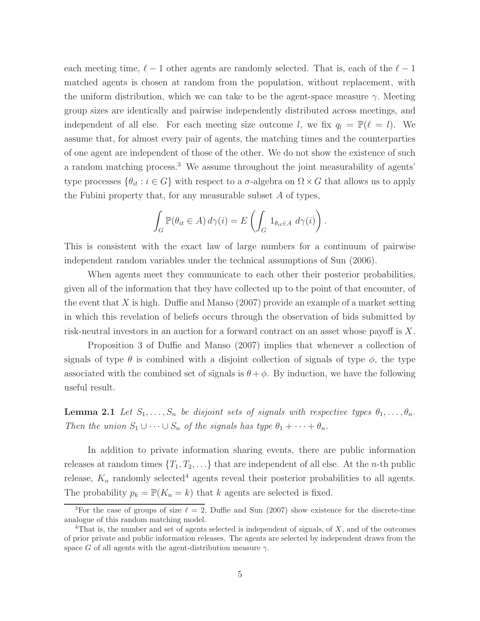each meeting time,  $\ell - 1$  other agents are randomly selected. That is, each of the  $\ell - 1$ matched agents is chosen at random from the population, without replacement, with the uniform distribution, which we can take to be the agent-space measure  $\gamma$ . Meeting group sizes are identically and pairwise independently distributed across meetings, and independent of all else. For each meeting size outcome l, we fix  $q_l = \mathbb{P}(\ell = l)$ . We assume that, for almost every pair of agents, the matching times and the counterparties of one agent are independent of those of the other. We do not show the existence of such a random matching process.<sup>3</sup> We assume throughout the joint measurability of agents' type processes  $\{\theta_{it} : i \in G\}$  with respect to a  $\sigma$ -algebra on  $\Omega \times G$  that allows us to apply the Fubini property that, for any measurable subset A of types,

$$
\int_G \mathbb{P}(\theta_{it} \in A) d\gamma(i) = E\left(\int_G 1_{\theta_{it} \in A} d\gamma(i)\right).
$$

This is consistent with the exact law of large numbers for a continuum of pairwise independent random variables under the technical assumptions of Sun (2006).

When agents meet they communicate to each other their posterior probabilities, given all of the information that they have collected up to the point of that encounter, of the event that X is high. Duffie and Manso  $(2007)$  provide an example of a market setting in which this revelation of beliefs occurs through the observation of bids submitted by risk-neutral investors in an auction for a forward contract on an asset whose payoff is X.

Proposition 3 of Duffie and Manso (2007) implies that whenever a collection of signals of type  $\theta$  is combined with a disjoint collection of signals of type  $\phi$ , the type associated with the combined set of signals is  $\theta + \phi$ . By induction, we have the following useful result.

**Lemma 2.1** Let  $S_1, \ldots, S_n$  be disjoint sets of signals with respective types  $\theta_1, \ldots, \theta_n$ . Then the union  $S_1 \cup \cdots \cup S_n$  of the signals has type  $\theta_1 + \cdots + \theta_n$ .

In addition to private information sharing events, there are public information releases at random times  $\{T_1, T_2, \ldots\}$  that are independent of all else. At the *n*-th public release,  $K_n$  randomly selected<sup>4</sup> agents reveal their posterior probabilities to all agents. The probability  $p_k = \mathbb{P}(K_n = k)$  that k agents are selected is fixed.

<sup>&</sup>lt;sup>3</sup>For the case of groups of size  $\ell = 2$ , Duffie and Sun (2007) show existence for the discrete-time analogue of this random matching model.

<sup>&</sup>lt;sup>4</sup>That is, the number and set of agents selected is independent of signals, of  $X$ , and of the outcomes of prior private and public information releases. The agents are selected by independent draws from the space G of all agents with the agent-distribution measure  $\gamma$ .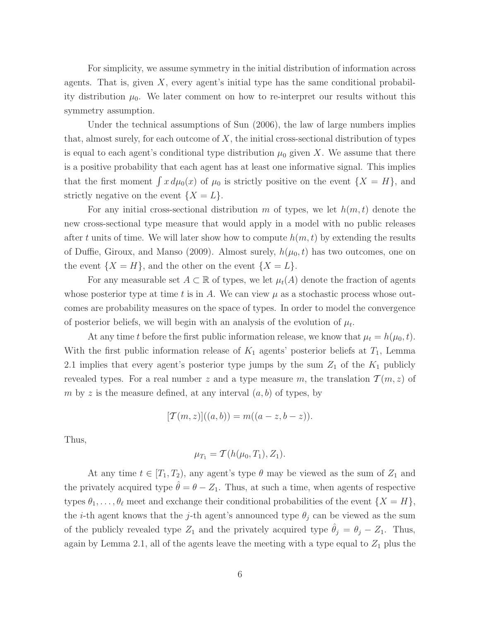For simplicity, we assume symmetry in the initial distribution of information across agents. That is, given  $X$ , every agent's initial type has the same conditional probability distribution  $\mu_0$ . We later comment on how to re-interpret our results without this symmetry assumption.

Under the technical assumptions of Sun (2006), the law of large numbers implies that, almost surely, for each outcome of  $X$ , the initial cross-sectional distribution of types is equal to each agent's conditional type distribution  $\mu_0$  given X. We assume that there is a positive probability that each agent has at least one informative signal. This implies that the first moment  $\int x d\mu_0(x)$  of  $\mu_0$  is strictly positive on the event  $\{X = H\}$ , and strictly negative on the event  $\{X = L\}.$ 

For any initial cross-sectional distribution m of types, we let  $h(m, t)$  denote the new cross-sectional type measure that would apply in a model with no public releases after t units of time. We will later show how to compute  $h(m, t)$  by extending the results of Duffie, Giroux, and Manso (2009). Almost surely,  $h(\mu_0, t)$  has two outcomes, one on the event  $\{X = H\}$ , and the other on the event  $\{X = L\}$ .

For any measurable set  $A \subset \mathbb{R}$  of types, we let  $\mu_t(A)$  denote the fraction of agents whose posterior type at time t is in A. We can view  $\mu$  as a stochastic process whose outcomes are probability measures on the space of types. In order to model the convergence of posterior beliefs, we will begin with an analysis of the evolution of  $\mu_t$ .

At any time t before the first public information release, we know that  $\mu_t = h(\mu_0, t)$ . With the first public information release of  $K_1$  agents' posterior beliefs at  $T_1$ , Lemma 2.1 implies that every agent's posterior type jumps by the sum  $Z_1$  of the  $K_1$  publicly revealed types. For a real number z and a type measure m, the translation  $\mathcal{T}(m, z)$  of m by z is the measure defined, at any interval  $(a, b)$  of types, by

$$
[\mathcal{T}(m, z)]((a, b)) = m((a - z, b - z)).
$$

Thus,

$$
\mu_{T_1} = \mathcal{T}(h(\mu_0, T_1), Z_1).
$$

At any time  $t \in [T_1, T_2)$ , any agent's type  $\theta$  may be viewed as the sum of  $Z_1$  and the privately acquired type  $\hat{\theta} = \theta - Z_1$ . Thus, at such a time, when agents of respective types  $\theta_1, \ldots, \theta_\ell$  meet and exchange their conditional probabilities of the event  $\{X = H\},\$ the *i*-th agent knows that the *j*-th agent's announced type  $\theta_j$  can be viewed as the sum of the publicly revealed type  $Z_1$  and the privately acquired type  $\theta_j = \theta_j - Z_1$ . Thus, again by Lemma 2.1, all of the agents leave the meeting with a type equal to  $Z_1$  plus the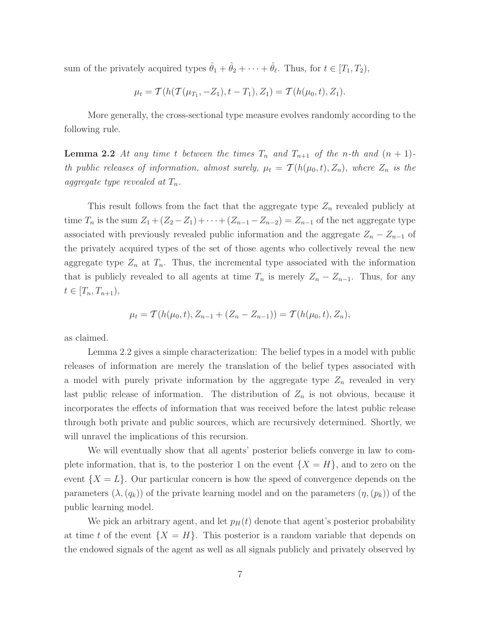sum of the privately acquired types  $\hat{\theta}_1 + \hat{\theta}_2 + \cdots + \hat{\theta}_{\ell}$ . Thus, for  $t \in [T_1, T_2)$ ,

$$
\mu_t = \mathcal{T}(h(\mathcal{T}(\mu_{T_1}, -Z_1), t - T_1), Z_1) = \mathcal{T}(h(\mu_0, t), Z_1).
$$

More generally, the cross-sectional type measure evolves randomly according to the following rule.

**Lemma 2.2** At any time t between the times  $T_n$  and  $T_{n+1}$  of the n-th and  $(n + 1)$ th public releases of information, almost surely,  $\mu_t = \mathcal{T}(h(\mu_0,t), Z_n)$ , where  $Z_n$  is the aggregate type revealed at  $T_n$ .

This result follows from the fact that the aggregate type  $Z_n$  revealed publicly at time  $T_n$  is the sum  $Z_1 + (Z_2 - Z_1) + \cdots + (Z_{n-1} - Z_{n-2}) = Z_{n-1}$  of the net aggregate type associated with previously revealed public information and the aggregate  $Z_n - Z_{n-1}$  of the privately acquired types of the set of those agents who collectively reveal the new aggregate type  $Z_n$  at  $T_n$ . Thus, the incremental type associated with the information that is publicly revealed to all agents at time  $T_n$  is merely  $Z_n - Z_{n-1}$ . Thus, for any  $t \in [T_n, T_{n+1}),$ 

$$
\mu_t = \mathcal{T}(h(\mu_0, t), Z_{n-1} + (Z_n - Z_{n-1})) = \mathcal{T}(h(\mu_0, t), Z_n),
$$

as claimed.

Lemma 2.2 gives a simple characterization: The belief types in a model with public releases of information are merely the translation of the belief types associated with a model with purely private information by the aggregate type  $Z_n$  revealed in very last public release of information. The distribution of  $Z_n$  is not obvious, because it incorporates the effects of information that was received before the latest public release through both private and public sources, which are recursively determined. Shortly, we will unravel the implications of this recursion.

We will eventually show that all agents' posterior beliefs converge in law to complete information, that is, to the posterior 1 on the event  $\{X = H\}$ , and to zero on the event  $\{X = L\}$ . Our particular concern is how the speed of convergence depends on the parameters  $(\lambda,(q_k))$  of the private learning model and on the parameters  $(\eta,(p_k))$  of the public learning model.

We pick an arbitrary agent, and let  $p_H(t)$  denote that agent's posterior probability at time t of the event  $\{X = H\}$ . This posterior is a random variable that depends on the endowed signals of the agent as well as all signals publicly and privately observed by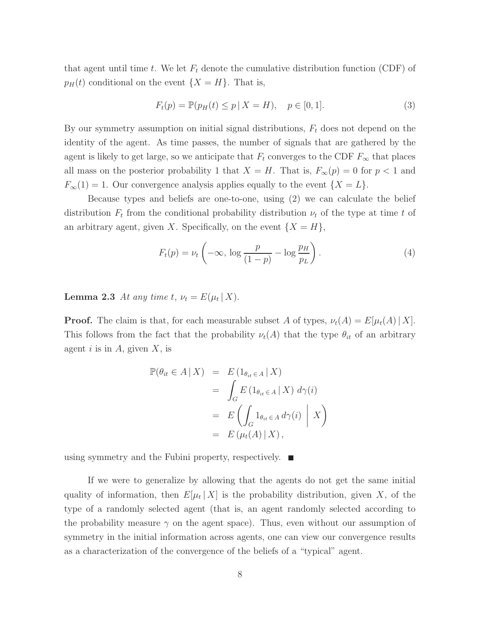that agent until time t. We let  $F_t$  denote the cumulative distribution function (CDF) of  $p_H(t)$  conditional on the event  $\{X = H\}$ . That is,

$$
F_t(p) = \mathbb{P}(p_H(t) \le p \mid X = H), \quad p \in [0, 1].
$$
\n(3)

By our symmetry assumption on initial signal distributions,  $F_t$  does not depend on the identity of the agent. As time passes, the number of signals that are gathered by the agent is likely to get large, so we anticipate that  $F_t$  converges to the CDF  $F_\infty$  that places all mass on the posterior probability 1 that  $X = H$ . That is,  $F_{\infty}(p) = 0$  for  $p < 1$  and  $F_{\infty}(1) = 1$ . Our convergence analysis applies equally to the event  $\{X = L\}$ .

Because types and beliefs are one-to-one, using (2) we can calculate the belief distribution  $F_t$  from the conditional probability distribution  $\nu_t$  of the type at time t of an arbitrary agent, given X. Specifically, on the event  $\{X = H\}$ ,

$$
F_t(p) = \nu_t \left( -\infty, \log \frac{p}{(1-p)} - \log \frac{p_H}{p_L} \right). \tag{4}
$$

**Lemma 2.3** At any time t,  $\nu_t = E(\mu_t | X)$ .

**Proof.** The claim is that, for each measurable subset A of types,  $\nu_t(A) = E[\mu_t(A) | X]$ . This follows from the fact that the probability  $\nu_t(A)$  that the type  $\theta_{it}$  of an arbitrary agent i is in  $A$ , given  $X$ , is

$$
\mathbb{P}(\theta_{it} \in A | X) = E(1_{\theta_{it} \in A} | X)
$$
  
= 
$$
\int_{G} E(1_{\theta_{it} \in A} | X) d\gamma(i)
$$
  
= 
$$
E\left(\int_{G} 1_{\theta_{it} \in A} d\gamma(i) | X\right)
$$
  
= 
$$
E(\mu_t(A) | X),
$$

using symmetry and the Fubini property, respectively.  $\blacksquare$ 

If we were to generalize by allowing that the agents do not get the same initial quality of information, then  $E[\mu_t | X]$  is the probability distribution, given X, of the type of a randomly selected agent (that is, an agent randomly selected according to the probability measure  $\gamma$  on the agent space). Thus, even without our assumption of symmetry in the initial information across agents, one can view our convergence results as a characterization of the convergence of the beliefs of a "typical" agent.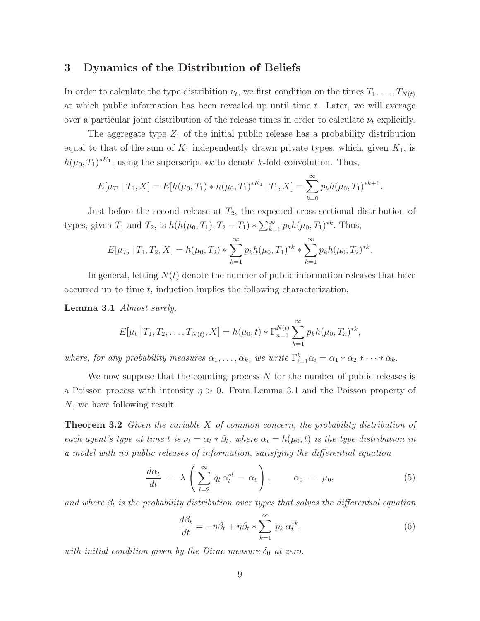### 3 Dynamics of the Distribution of Beliefs

In order to calculate the type distribition  $\nu_t$ , we first condition on the times  $T_1, \ldots, T_{N(t)}$ at which public information has been revealed up until time  $t$ . Later, we will average over a particular joint distribution of the release times in order to calculate  $\nu_t$  explicitly.

The aggregate type  $Z_1$  of the initial public release has a probability distribution equal to that of the sum of  $K_1$  independently drawn private types, which, given  $K_1$ , is  $h(\mu_0, T_1)^{*K_1}$ , using the superscript  $* k$  to denote k-fold convolution. Thus,

$$
E[\mu_{T_1} | T_1, X] = E[h(\mu_0, T_1) * h(\mu_0, T_1)^{*K_1} | T_1, X] = \sum_{k=0}^{\infty} p_k h(\mu_0, T_1)^{*k+1}.
$$

Just before the second release at  $T_2$ , the expected cross-sectional distribution of types, given  $T_1$  and  $T_2$ , is  $h(h(\mu_0, T_1), T_2 - T_1) * \sum_{k=1}^{\infty} p_k h(\mu_0, T_1)^{*k}$ . Thus,

$$
E[\mu_{T_2} | T_1, T_2, X] = h(\mu_0, T_2) * \sum_{k=1}^{\infty} p_k h(\mu_0, T_1)^{*k} * \sum_{k=1}^{\infty} p_k h(\mu_0, T_2)^{*k}.
$$

In general, letting  $N(t)$  denote the number of public information releases that have occurred up to time t, induction implies the following characterization.

Lemma 3.1 Almost surely,

$$
E[\mu_t | T_1, T_2, \dots, T_{N(t)}, X] = h(\mu_0, t) * \Gamma_{n=1}^{N(t)} \sum_{k=1}^{\infty} p_k h(\mu_0, T_n)^{*k},
$$

where, for any probability measures  $\alpha_1, \ldots, \alpha_k$ , we write  $\Gamma_{i=1}^k \alpha_i = \alpha_1 * \alpha_2 * \cdots * \alpha_k$ .

We now suppose that the counting process  $N$  for the number of public releases is a Poisson process with intensity  $\eta > 0$ . From Lemma 3.1 and the Poisson property of N, we have following result.

**Theorem 3.2** Given the variable  $X$  of common concern, the probability distribution of each agent's type at time t is  $\nu_t = \alpha_t * \beta_t$ , where  $\alpha_t = h(\mu_0, t)$  is the type distribution in a model with no public releases of information, satisfying the differential equation

$$
\frac{d\alpha_t}{dt} = \lambda \left( \sum_{l=2}^{\infty} q_l \alpha_t^{*l} - \alpha_t \right), \qquad \alpha_0 = \mu_0,
$$
\n(5)

and where  $\beta_t$  is the probability distribution over types that solves the differential equation

$$
\frac{d\beta_t}{dt} = -\eta \beta_t + \eta \beta_t * \sum_{k=1}^{\infty} p_k \,\alpha_t^{*k},\tag{6}
$$

with initial condition given by the Dirac measure  $\delta_0$  at zero.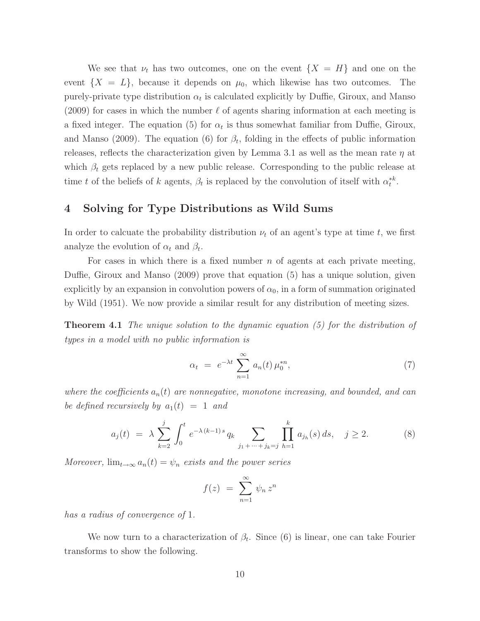We see that  $\nu_t$  has two outcomes, one on the event  $\{X = H\}$  and one on the event  $\{X = L\}$ , because it depends on  $\mu_0$ , which likewise has two outcomes. The purely-private type distribution  $\alpha_t$  is calculated explicitly by Duffie, Giroux, and Manso (2009) for cases in which the number  $\ell$  of agents sharing information at each meeting is a fixed integer. The equation (5) for  $\alpha_t$  is thus somewhat familiar from Duffie, Giroux, and Manso (2009). The equation (6) for  $\beta_t$ , folding in the effects of public information releases, reflects the characterization given by Lemma 3.1 as well as the mean rate  $\eta$  at which  $\beta_t$  gets replaced by a new public release. Corresponding to the public release at time t of the beliefs of k agents,  $\beta_t$  is replaced by the convolution of itself with  $\alpha_t^{*k}$ .

### 4 Solving for Type Distributions as Wild Sums

In order to calcuate the probability distribution  $\nu_t$  of an agent's type at time t, we first analyze the evolution of  $\alpha_t$  and  $\beta_t$ .

For cases in which there is a fixed number  $n$  of agents at each private meeting, Duffie, Giroux and Manso (2009) prove that equation (5) has a unique solution, given explicitly by an expansion in convolution powers of  $\alpha_0$ , in a form of summation originated by Wild (1951). We now provide a similar result for any distribution of meeting sizes.

**Theorem 4.1** The unique solution to the dynamic equation  $(5)$  for the distribution of types in a model with no public information is

$$
\alpha_t = e^{-\lambda t} \sum_{n=1}^{\infty} a_n(t) \mu_0^{*n}, \qquad (7)
$$

where the coefficients  $a_n(t)$  are nonnegative, monotone increasing, and bounded, and can be defined recursively by  $a_1(t) = 1$  and

$$
a_j(t) = \lambda \sum_{k=2}^j \int_0^t e^{-\lambda (k-1)s} q_k \sum_{j_1 + \dots + j_k = j} \prod_{h=1}^k a_{j_h}(s) ds, \quad j \ge 2.
$$
 (8)

Moreover,  $\lim_{t\to\infty} a_n(t) = \psi_n$  exists and the power series

$$
f(z) = \sum_{n=1}^{\infty} \psi_n z^n
$$

has a radius of convergence of 1.

We now turn to a characterization of  $\beta_t$ . Since (6) is linear, one can take Fourier transforms to show the following.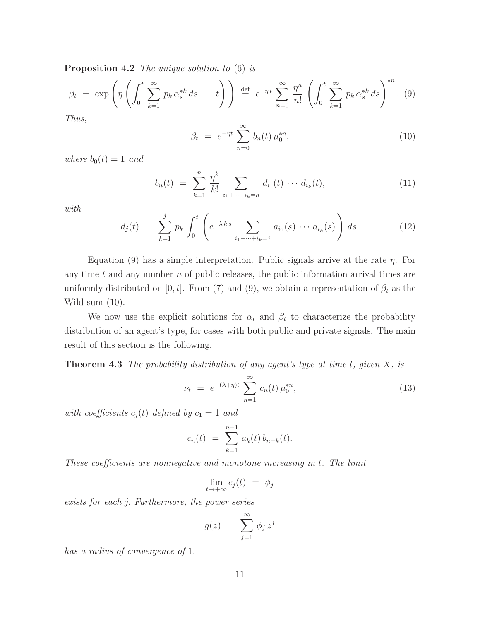Proposition 4.2 The unique solution to  $(6)$  is

$$
\beta_t = \exp\left(\eta \left( \int_0^t \sum_{k=1}^\infty p_k \, \alpha_s^{*k} \, ds \ - \ t \right) \right) \stackrel{\text{def}}{=} e^{-\eta \, t} \sum_{n=0}^\infty \frac{\eta^n}{n!} \left( \int_0^t \sum_{k=1}^\infty p_k \, \alpha_s^{*k} \, ds \right)^{*n} . \tag{9}
$$

Thus,

$$
\beta_t = e^{-\eta t} \sum_{n=0}^{\infty} b_n(t) \mu_0^{*n}, \qquad (10)
$$

where  $b_0(t) = 1$  and

$$
b_n(t) = \sum_{k=1}^n \frac{\eta^k}{k!} \sum_{i_1 + \dots + i_k = n} d_{i_1}(t) \cdots d_{i_k}(t), \qquad (11)
$$

with

$$
d_j(t) = \sum_{k=1}^j p_k \int_0^t \left( e^{-\lambda k s} \sum_{i_1 + \dots + i_k = j} a_{i_1}(s) \cdots a_{i_k}(s) \right) ds.
$$
 (12)

Equation (9) has a simple interpretation. Public signals arrive at the rate  $\eta$ . For any time  $t$  and any number  $n$  of public releases, the public information arrival times are uniformly distributed on [0, t]. From (7) and (9), we obtain a representation of  $\beta_t$  as the Wild sum (10).

We now use the explicit solutions for  $\alpha_t$  and  $\beta_t$  to characterize the probability distribution of an agent's type, for cases with both public and private signals. The main result of this section is the following.

**Theorem 4.3** The probability distribution of any agent's type at time t, given  $X$ , is

$$
\nu_t = e^{-(\lambda + \eta)t} \sum_{n=1}^{\infty} c_n(t) \mu_0^{*n}, \tag{13}
$$

with coefficients  $c_j(t)$  defined by  $c_1 = 1$  and

$$
c_n(t) = \sum_{k=1}^{n-1} a_k(t) b_{n-k}(t).
$$

These coefficients are nonnegative and monotone increasing in t. The limit

$$
\lim_{t \to +\infty} c_j(t) = \phi_j
$$

exists for each j. Furthermore, the power series

$$
g(z) = \sum_{j=1}^{\infty} \phi_j z^j
$$

has a radius of convergence of 1.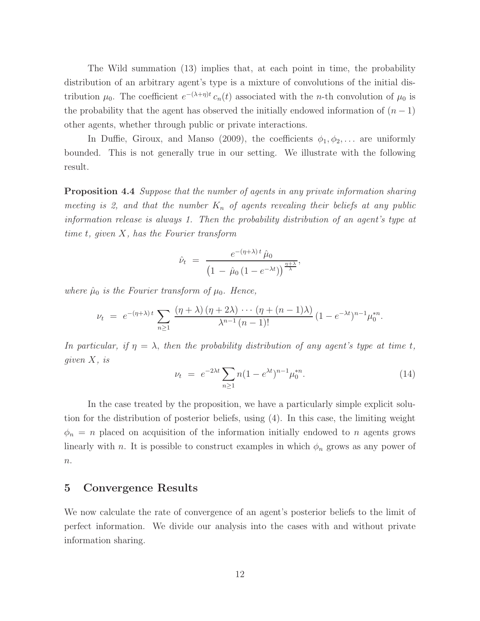The Wild summation (13) implies that, at each point in time, the probability distribution of an arbitrary agent's type is a mixture of convolutions of the initial distribution  $\mu_0$ . The coefficient  $e^{-(\lambda+\eta)t} c_n(t)$  associated with the *n*-th convolution of  $\mu_0$  is the probability that the agent has observed the initially endowed information of  $(n-1)$ other agents, whether through public or private interactions.

In Duffie, Giroux, and Manso (2009), the coefficients  $\phi_1, \phi_2, \ldots$  are uniformly bounded. This is not generally true in our setting. We illustrate with the following result.

**Proposition 4.4** Suppose that the number of agents in any private information sharing meeting is 2, and that the number  $K_n$  of agents revealing their beliefs at any public information release is always 1. Then the probability distribution of an agent's type at time t, given X, has the Fourier transform

$$
\hat{\nu}_t = \frac{e^{-(\eta+\lambda)t} \hat{\mu}_0}{\left(1 - \hat{\mu}_0 \left(1 - e^{-\lambda t}\right)\right)^{\frac{\eta+\lambda}{\lambda}}},
$$

where  $\hat{\mu}_0$  is the Fourier transform of  $\mu_0$ . Hence,

$$
\nu_t = e^{-(\eta+\lambda)t} \sum_{n\geq 1} \frac{(\eta+\lambda)(\eta+2\lambda)\cdots(\eta+(n-1)\lambda)}{\lambda^{n-1}(n-1)!} (1-e^{-\lambda t})^{n-1} \mu_0^{*n}.
$$

In particular, if  $\eta = \lambda$ , then the probability distribution of any agent's type at time t, given X, is

$$
\nu_t = e^{-2\lambda t} \sum_{n \ge 1} n(1 - e^{\lambda t})^{n-1} \mu_0^{*n}.
$$
\n(14)

In the case treated by the proposition, we have a particularly simple explicit solution for the distribution of posterior beliefs, using (4). In this case, the limiting weight  $\phi_n = n$  placed on acquisition of the information initially endowed to n agents grows linearly with n. It is possible to construct examples in which  $\phi_n$  grows as any power of  $\overline{n}$ .

### 5 Convergence Results

We now calculate the rate of convergence of an agent's posterior beliefs to the limit of perfect information. We divide our analysis into the cases with and without private information sharing.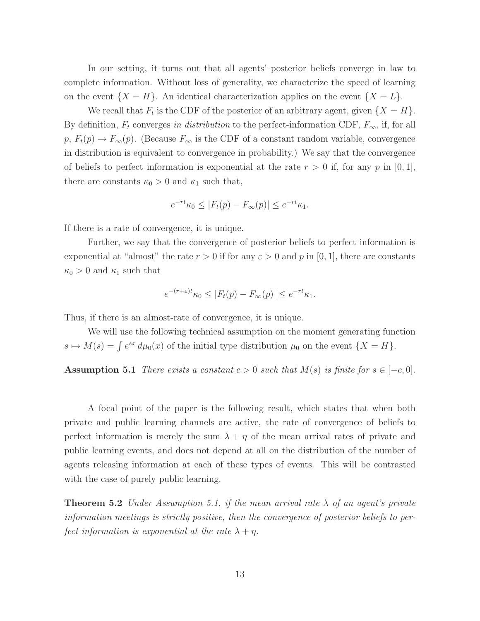In our setting, it turns out that all agents' posterior beliefs converge in law to complete information. Without loss of generality, we characterize the speed of learning on the event  $\{X = H\}$ . An identical characterization applies on the event  $\{X = L\}$ .

We recall that  $F_t$  is the CDF of the posterior of an arbitrary agent, given  $\{X = H\}$ . By definition,  $F_t$  converges in distribution to the perfect-information CDF,  $F_{\infty}$ , if, for all  $p, F_t(p) \to F_\infty(p)$ . (Because  $F_\infty$  is the CDF of a constant random variable, convergence in distribution is equivalent to convergence in probability.) We say that the convergence of beliefs to perfect information is exponential at the rate  $r > 0$  if, for any p in [0, 1], there are constants  $\kappa_0 > 0$  and  $\kappa_1$  such that,

$$
e^{-rt}\kappa_0 \le |F_t(p) - F_\infty(p)| \le e^{-rt}\kappa_1.
$$

If there is a rate of convergence, it is unique.

Further, we say that the convergence of posterior beliefs to perfect information is exponential at "almost" the rate  $r > 0$  if for any  $\varepsilon > 0$  and p in [0, 1], there are constants  $\kappa_0 > 0$  and  $\kappa_1$  such that

$$
e^{-(r+\varepsilon)t}\kappa_0 \le |F_t(p) - F_\infty(p)| \le e^{-rt}\kappa_1.
$$

Thus, if there is an almost-rate of convergence, it is unique.

We will use the following technical assumption on the moment generating function  $s \mapsto M(s) = \int e^{sx} d\mu_0(x)$  of the initial type distribution  $\mu_0$  on the event  $\{X = H\}.$ 

**Assumption 5.1** There exists a constant  $c > 0$  such that  $M(s)$  is finite for  $s \in [-c, 0]$ .

A focal point of the paper is the following result, which states that when both private and public learning channels are active, the rate of convergence of beliefs to perfect information is merely the sum  $\lambda + \eta$  of the mean arrival rates of private and public learning events, and does not depend at all on the distribution of the number of agents releasing information at each of these types of events. This will be contrasted with the case of purely public learning.

**Theorem 5.2** Under Assumption 5.1, if the mean arrival rate  $\lambda$  of an agent's private information meetings is strictly positive, then the convergence of posterior beliefs to perfect information is exponential at the rate  $\lambda + \eta$ .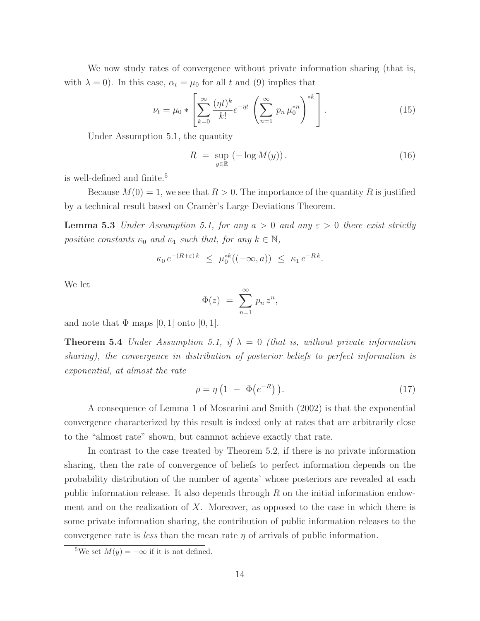We now study rates of convergence without private information sharing (that is, with  $\lambda = 0$ ). In this case,  $\alpha_t = \mu_0$  for all t and (9) implies that

$$
\nu_t = \mu_0 * \left[ \sum_{k=0}^{\infty} \frac{(\eta t)^k}{k!} e^{-\eta t} \left( \sum_{n=1}^{\infty} p_n \mu_0^{*n} \right)^{*k} \right].
$$
 (15)

Under Assumption 5.1, the quantity

$$
R = \sup_{y \in \mathbb{R}} (-\log M(y)). \tag{16}
$$

is well-defined and finite.<sup>5</sup>

Because  $M(0) = 1$ , we see that  $R > 0$ . The importance of the quantity R is justified by a technical result based on Cramèr's Large Deviations Theorem.

**Lemma 5.3** Under Assumption 5.1, for any  $a > 0$  and any  $\varepsilon > 0$  there exist strictly positive constants  $\kappa_0$  and  $\kappa_1$  such that, for any  $k \in \mathbb{N}$ ,

$$
\kappa_0 e^{-(R+\varepsilon)k} \leq \mu_0^{*k}((-\infty, a)) \leq \kappa_1 e^{-Rk}.
$$

We let

$$
\Phi(z) = \sum_{n=1}^{\infty} p_n z^n,
$$

and note that  $\Phi$  maps [0, 1] onto [0, 1].

**Theorem 5.4** Under Assumption 5.1, if  $\lambda = 0$  (that is, without private information sharing), the convergence in distribution of posterior beliefs to perfect information is exponential, at almost the rate

$$
\rho = \eta \left( 1 - \Phi(e^{-R}) \right). \tag{17}
$$

A consequence of Lemma 1 of Moscarini and Smith (2002) is that the exponential convergence characterized by this result is indeed only at rates that are arbitrarily close to the "almost rate" shown, but cannnot achieve exactly that rate.

In contrast to the case treated by Theorem 5.2, if there is no private information sharing, then the rate of convergence of beliefs to perfect information depends on the probability distribution of the number of agents' whose posteriors are revealed at each public information release. It also depends through  $R$  on the initial information endowment and on the realization of  $X$ . Moreover, as opposed to the case in which there is some private information sharing, the contribution of public information releases to the convergence rate is *less* than the mean rate  $\eta$  of arrivals of public information.

<sup>&</sup>lt;sup>5</sup>We set  $M(y) = +\infty$  if it is not defined.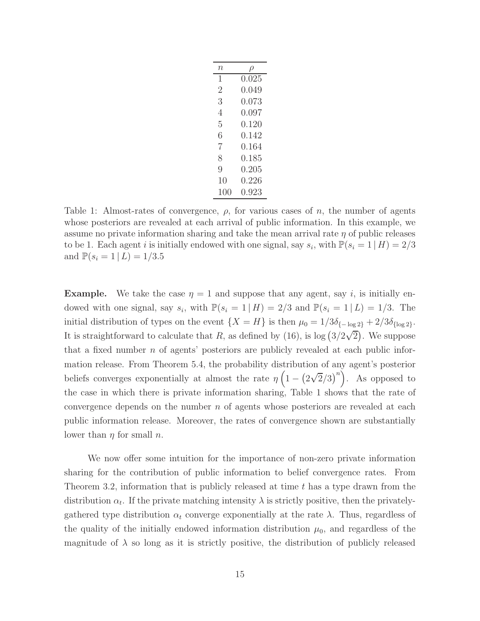| $\it n$ |       |
|---------|-------|
| 1       | 0.025 |
| 2       | 0.049 |
| 3       | 0.073 |
| 4       | 0.097 |
| 5       | 0.120 |
| 6       | 0.142 |
| 7       | 0.164 |
| 8       | 0.185 |
| 9       | 0.205 |
| 10      | 0.226 |
| 100     | 0.923 |

Table 1: Almost-rates of convergence,  $\rho$ , for various cases of n, the number of agents whose posteriors are revealed at each arrival of public information. In this example, we assume no private information sharing and take the mean arrival rate  $\eta$  of public releases to be 1. Each agent *i* is initially endowed with one signal, say  $s_i$ , with  $\mathbb{P}(s_i = 1 | H) = 2/3$ and  $\mathbb{P}(s_i = 1 | L) = 1/3.5$ 

**Example.** We take the case  $\eta = 1$  and suppose that any agent, say i, is initially endowed with one signal, say  $s_i$ , with  $\mathbb{P}(s_i = 1 | H) = 2/3$  and  $\mathbb{P}(s_i = 1 | L) = 1/3$ . The initial distribution of types on the event  $\{X = H\}$  is then  $\mu_0 = 1/3\delta_{\{-\log 2\}} + 2/3\delta_{\{\log 2\}}$ . It is straightforward to calculate that R, as defined by (16), is  $\log(3/2\sqrt{2})$ . We suppose that a fixed number  $n$  of agents' posteriors are publicly revealed at each public information release. From Theorem 5.4, the probability distribution of any agent's posterior beliefs converges exponentially at almost the rate  $\eta \left(1 - \left(2\sqrt{2}/3\right)^n\right)$ . As opposed to the case in which there is private information sharing, Table 1 shows that the rate of convergence depends on the number  $n$  of agents whose posteriors are revealed at each public information release. Moreover, the rates of convergence shown are substantially lower than  $\eta$  for small  $n$ .

We now offer some intuition for the importance of non-zero private information sharing for the contribution of public information to belief convergence rates. From Theorem 3.2, information that is publicly released at time  $t$  has a type drawn from the distribution  $\alpha_t$ . If the private matching intensity  $\lambda$  is strictly positive, then the privatelygathered type distribution  $\alpha_t$  converge exponentially at the rate  $\lambda$ . Thus, regardless of the quality of the initially endowed information distribution  $\mu_0$ , and regardless of the magnitude of  $\lambda$  so long as it is strictly positive, the distribution of publicly released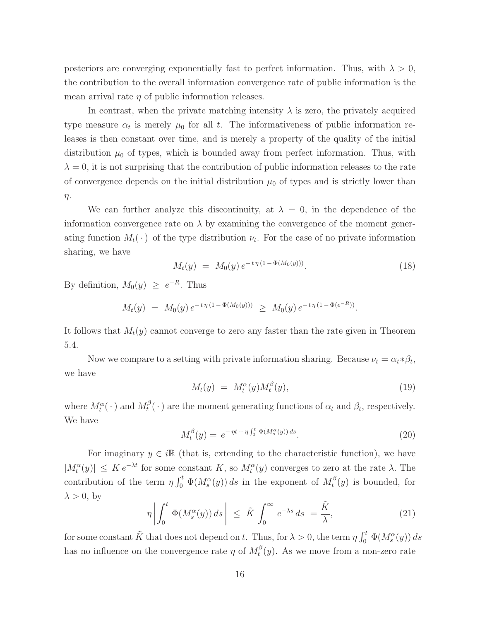posteriors are converging exponentially fast to perfect information. Thus, with  $\lambda > 0$ , the contribution to the overall information convergence rate of public information is the mean arrival rate  $\eta$  of public information releases.

In contrast, when the private matching intensity  $\lambda$  is zero, the privately acquired type measure  $\alpha_t$  is merely  $\mu_0$  for all t. The informativeness of public information releases is then constant over time, and is merely a property of the quality of the initial distribution  $\mu_0$  of types, which is bounded away from perfect information. Thus, with  $\lambda = 0$ , it is not surprising that the contribution of public information releases to the rate of convergence depends on the initial distribution  $\mu_0$  of types and is strictly lower than η.

We can further analyze this discontinuity, at  $\lambda = 0$ , in the dependence of the information convergence rate on  $\lambda$  by examining the convergence of the moment generating function  $M_t(\cdot)$  of the type distribution  $\nu_t$ . For the case of no private information sharing, we have

$$
M_t(y) = M_0(y) e^{-t \eta (1 - \Phi(M_0(y)))}.
$$
 (18)

By definition,  $M_0(y) \geq e^{-R}$ . Thus

$$
M_t(y) = M_0(y) e^{-t \eta (1 - \Phi(M_0(y)))} \geq M_0(y) e^{-t \eta (1 - \Phi(e^{-R}))}
$$

It follows that  $M_t(y)$  cannot converge to zero any faster than the rate given in Theorem 5.4.

Now we compare to a setting with private information sharing. Because  $\nu_t = \alpha_t * \beta_t$ , we have

$$
M_t(y) = M_t^{\alpha}(y) M_t^{\beta}(y), \qquad (19)
$$

.

where  $M_t^{\alpha}(\cdot)$  and  $M_t^{\beta}$  $t_t^{\beta}(\cdot)$  are the moment generating functions of  $\alpha_t$  and  $\beta_t$ , respectively. We have

$$
M_t^{\beta}(y) = e^{-\eta t + \eta \int_0^t \Phi(M_s^{\alpha}(y)) ds}.
$$
 (20)

For imaginary  $y \in i\mathbb{R}$  (that is, extending to the characteristic function), we have  $|M_t^{\alpha}(y)| \leq K e^{-\lambda t}$  for some constant K, so  $M_t^{\alpha}(y)$  converges to zero at the rate  $\lambda$ . The contribution of the term  $\eta \int_0^t \Phi(M_s^{\alpha}(y)) ds$  in the exponent of  $M_t^{\beta}$  $t^p(y)$  is bounded, for  $\lambda > 0$ , by

$$
\eta \left| \int_0^t \Phi(M_s^{\alpha}(y)) ds \right| \leq \tilde{K} \int_0^{\infty} e^{-\lambda s} ds = \frac{\tilde{K}}{\lambda}, \tag{21}
$$

for some constant  $\tilde{K}$  that does not depend on t. Thus, for  $\lambda > 0$ , the term  $\eta \int_0^t \Phi(M_s^{\alpha}(y)) ds$ has no influence on the convergence rate  $\eta$  of  $M_t^{\beta}$  $t_t^{p}(y)$ . As we move from a non-zero rate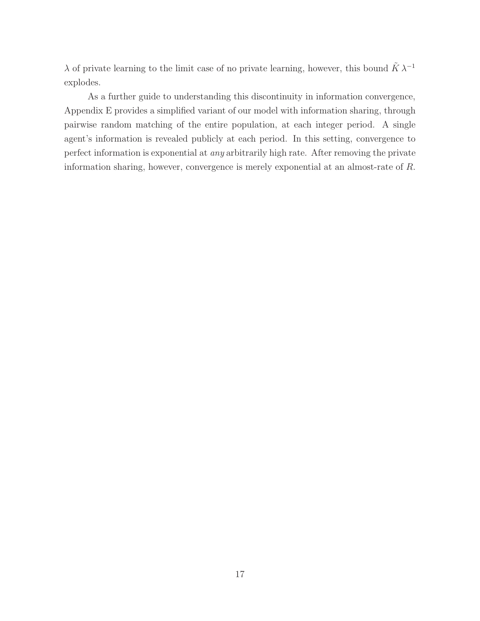$\lambda$  of private learning to the limit case of no private learning, however, this bound  $\tilde{K} \lambda^{-1}$ explodes.

As a further guide to understanding this discontinuity in information convergence, Appendix E provides a simplified variant of our model with information sharing, through pairwise random matching of the entire population, at each integer period. A single agent's information is revealed publicly at each period. In this setting, convergence to perfect information is exponential at any arbitrarily high rate. After removing the private information sharing, however, convergence is merely exponential at an almost-rate of R.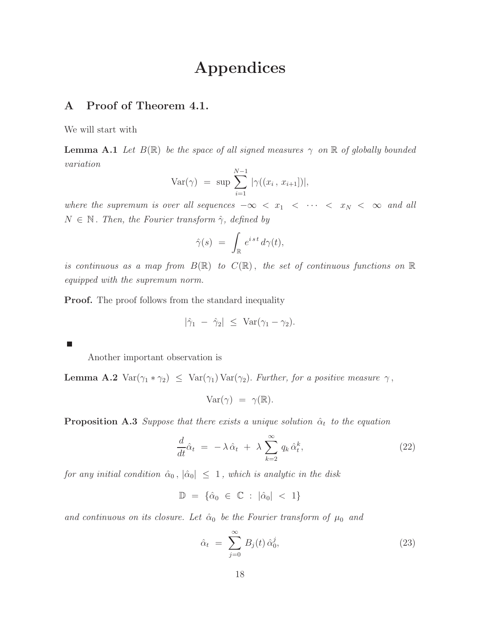# Appendices

## A Proof of Theorem 4.1.

We will start with

**Lemma A.1** Let  $B(\mathbb{R})$  be the space of all signed measures  $\gamma$  on  $\mathbb{R}$  of globally bounded variation  $\lambda x = 4$ 

Var
$$
(\gamma)
$$
 = sup  $\sum_{i=1}^{N-1} |\gamma((x_i, x_{i+1}))|$ ,

where the supremum is over all sequences  $-\infty < x_1 < \cdots < x_N < \infty$  and all  $N \in \mathbb{N}$ . Then, the Fourier transform  $\hat{\gamma}$ , defined by

$$
\hat{\gamma}(s) \ = \ \int_{\mathbb{R}} \, e^{i \, s \, t} \, d\gamma(t),
$$

is continuous as a map from  $B(\mathbb{R})$  to  $C(\mathbb{R})$ , the set of continuous functions on  $\mathbb R$ equipped with the supremum norm.

**Proof.** The proof follows from the standard inequality

$$
|\hat{\gamma}_1 - \hat{\gamma}_2| \leq \operatorname{Var}(\gamma_1 - \gamma_2).
$$

П

Another important observation is

**Lemma A.2** Var( $\gamma_1 * \gamma_2$ )  $\leq$  Var( $\gamma_1$ ) Var( $\gamma_2$ ). Further, for a positive measure  $\gamma$ ,

$$
Var(\gamma) = \gamma(\mathbb{R}).
$$

**Proposition A.3** Suppose that there exists a unique solution  $\hat{\alpha}_t$  to the equation

$$
\frac{d}{dt}\hat{\alpha}_t = -\lambda \hat{\alpha}_t + \lambda \sum_{k=2}^{\infty} q_k \hat{\alpha}_t^k, \qquad (22)
$$

for any initial condition  $\hat{\alpha}_0$ ,  $|\hat{\alpha}_0| \leq 1$ , which is analytic in the disk

$$
\mathbb{D} \ = \ \{ \hat{\alpha}_0 \ \in \ \mathbb{C} \ : \ |\hat{\alpha}_0| \ < \ 1 \}
$$

and continuous on its closure. Let  $\hat{\alpha}_0$  be the Fourier transform of  $\mu_0$  and

$$
\hat{\alpha}_t = \sum_{j=0}^{\infty} B_j(t) \hat{\alpha}_0^j, \tag{23}
$$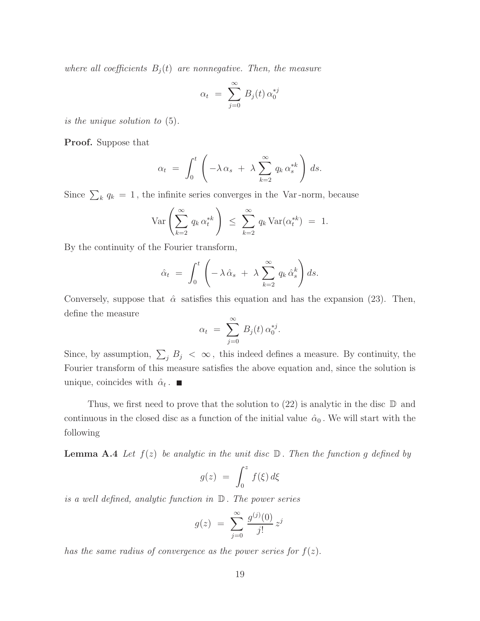where all coefficients  $B_i(t)$  are nonnegative. Then, the measure

$$
\alpha_t = \sum_{j=0}^{\infty} B_j(t) \, \alpha_0^{*j}
$$

is the unique solution to (5).

Proof. Suppose that

$$
\alpha_t = \int_0^t \left( -\lambda \, \alpha_s + \lambda \sum_{k=2}^\infty q_k \, \alpha_s^{*k} \right) \, ds.
$$

Since  $\sum_{k} q_k = 1$ , the infinite series converges in the Var-norm, because

$$
\operatorname{Var}\left(\sum_{k=2}^{\infty} q_k \alpha_t^{*k}\right) \leq \sum_{k=2}^{\infty} q_k \operatorname{Var}(\alpha_t^{*k}) = 1.
$$

By the continuity of the Fourier transform,

$$
\hat{\alpha}_t = \int_0^t \left( -\lambda \, \hat{\alpha}_s + \lambda \sum_{k=2}^\infty q_k \, \hat{\alpha}_s^k \right) ds.
$$

Conversely, suppose that  $\hat{\alpha}$  satisfies this equation and has the expansion (23). Then, define the measure

$$
\alpha_t = \sum_{j=0}^{\infty} B_j(t) \alpha_0^{*j}.
$$

Since, by assumption,  $\sum_j B_j < \infty$ , this indeed defines a measure. By continuity, the Fourier transform of this measure satisfies the above equation and, since the solution is unique, coincides with  $\hat{\alpha}_t$ .

Thus, we first need to prove that the solution to  $(22)$  is analytic in the disc  $\mathbb D$  and continuous in the closed disc as a function of the initial value  $\hat{\alpha}_0$ . We will start with the following

**Lemma A.4** Let  $f(z)$  be analytic in the unit disc  $\mathbb{D}$ . Then the function g defined by

$$
g(z) = \int_0^z f(\xi) d\xi
$$

is a well defined, analytic function in D . The power series

$$
g(z) = \sum_{j=0}^{\infty} \frac{g^{(j)}(0)}{j!} z^j
$$

has the same radius of convergence as the power series for  $f(z)$ .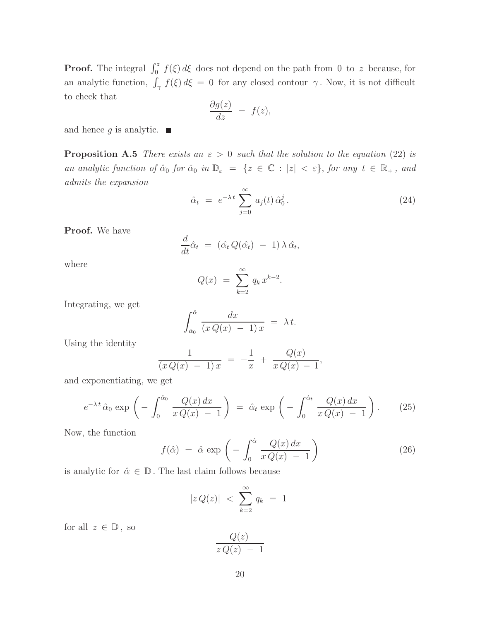**Proof.** The integral  $\int_0^z f(\xi) d\xi$  does not depend on the path from 0 to z because, for an analytic function,  $\int_{\gamma} f(\xi) d\xi = 0$  for any closed contour  $\gamma$ . Now, it is not difficult to check that

$$
\frac{\partial g(z)}{dz} = f(z),
$$

and hence g is analytic.  $\blacksquare$ 

**Proposition A.5** There exists an  $\varepsilon > 0$  such that the solution to the equation (22) is an analytic function of  $\hat{\alpha}_0$  for  $\hat{\alpha}_0$  in  $\mathbb{D}_{\varepsilon} = \{z \in \mathbb{C} : |z| < \varepsilon\}$ , for any  $t \in \mathbb{R}_+$ , and admits the expansion

$$
\hat{\alpha}_t = e^{-\lambda t} \sum_{j=0}^{\infty} a_j(t) \hat{\alpha}_0^j.
$$
\n(24)

Proof. We have

$$
\frac{d}{dt}\hat{\alpha}_t = (\hat{\alpha}_t Q(\hat{\alpha}_t) - 1) \lambda \hat{\alpha}_t,
$$

where

$$
Q(x) = \sum_{k=2}^{\infty} q_k x^{k-2}.
$$

Integrating, we get

$$
\int_{\hat{\alpha}_0}^{\hat{\alpha}} \frac{dx}{(xQ(x) - 1)x} = \lambda t.
$$

Using the identity

$$
\frac{1}{(xQ(x) - 1)x} = -\frac{1}{x} + \frac{Q(x)}{xQ(x) - 1},
$$

and exponentiating, we get

$$
e^{-\lambda t} \hat{\alpha}_0 \exp\left(-\int_0^{\hat{\alpha}_0} \frac{Q(x) dx}{x Q(x) - 1}\right) = \hat{\alpha}_t \exp\left(-\int_0^{\hat{\alpha}_t} \frac{Q(x) dx}{x Q(x) - 1}\right).
$$
 (25)

Now, the function

$$
f(\hat{\alpha}) = \hat{\alpha} \exp\left(-\int_0^{\hat{\alpha}} \frac{Q(x) dx}{x Q(x) - 1}\right)
$$
 (26)

is analytic for  $\hat{\alpha} \in \mathbb{D}$ . The last claim follows because

$$
|z\,Q(z)| \; < \; \sum_{k=2}^{\infty} q_k \; = \; 1
$$

for all  $z \in \mathbb{D}$ , so

$$
\frac{Q(z)}{z\,Q(z)\ -\ 1}
$$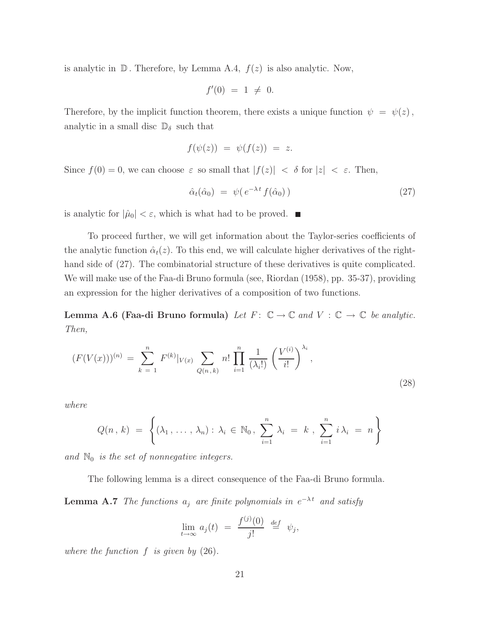is analytic in  $\mathbb D$ . Therefore, by Lemma A.4,  $f(z)$  is also analytic. Now,

$$
f'(0) = 1 \neq 0.
$$

Therefore, by the implicit function theorem, there exists a unique function  $\psi = \psi(z)$ , analytic in a small disc  $\mathbb{D}_{\delta}$  such that

$$
f(\psi(z)) = \psi(f(z)) = z.
$$

Since  $f(0) = 0$ , we can choose  $\varepsilon$  so small that  $|f(z)| < \delta$  for  $|z| < \varepsilon$ . Then,

$$
\hat{\alpha}_t(\hat{\alpha}_0) = \psi(e^{-\lambda t} f(\hat{\alpha}_0)) \tag{27}
$$

is analytic for  $|\hat{\mu}_0| < \varepsilon$ , which is what had to be proved.  $\blacksquare$ 

To proceed further, we will get information about the Taylor-series coefficients of the analytic function  $\hat{\alpha}_t(z)$ . To this end, we will calculate higher derivatives of the righthand side of  $(27)$ . The combinatorial structure of these derivatives is quite complicated. We will make use of the Faa-di Bruno formula (see, Riordan (1958), pp. 35-37), providing an expression for the higher derivatives of a composition of two functions.

**Lemma A.6 (Faa-di Bruno formula)** Let  $F: \mathbb{C} \to \mathbb{C}$  and  $V: \mathbb{C} \to \mathbb{C}$  be analytic. Then,

$$
(F(V(x)))^{(n)} = \sum_{k=1}^{n} F^{(k)}|_{V(x)} \sum_{Q(n,k)} n! \prod_{i=1}^{n} \frac{1}{(\lambda_i!)} \left(\frac{V^{(i)}}{i!}\right)^{\lambda_i},
$$
\n(28)

where

$$
Q(n, k) = \left\{ (\lambda_1, \ldots, \lambda_n) : \lambda_i \in \mathbb{N}_0, \sum_{i=1}^n \lambda_i = k, \sum_{i=1}^n i \lambda_i = n \right\}
$$

and  $\mathbb{N}_0$  is the set of nonnegative integers.

The following lemma is a direct consequence of the Faa-di Bruno formula.

**Lemma A.7** The functions  $a_j$  are finite polynomials in  $e^{-\lambda t}$  and satisfy

$$
\lim_{t \to \infty} a_j(t) = \frac{f^{(j)}(0)}{j!} \stackrel{def}{=} \psi_j,
$$

where the function  $f$  is given by  $(26)$ .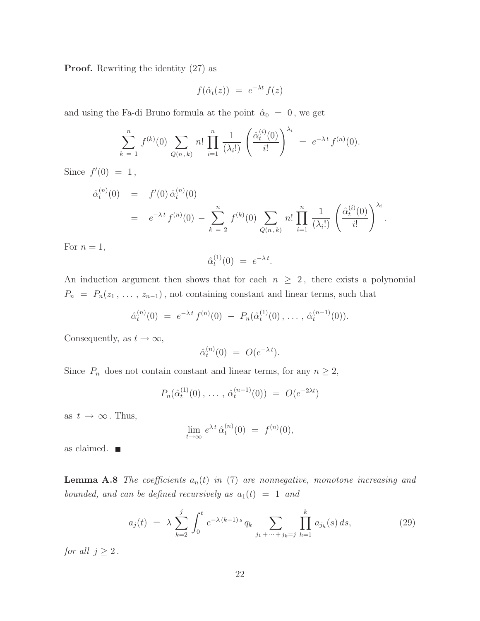Proof. Rewriting the identity (27) as

$$
f(\hat{\alpha}_t(z)) = e^{-\lambda t} f(z)
$$

and using the Fa-di Bruno formula at the point  $\hat{\alpha}_0 = 0$ , we get

$$
\sum_{k=1}^{n} f^{(k)}(0) \sum_{Q(n,k)} n! \prod_{i=1}^{n} \frac{1}{(\lambda_i!)} \left( \frac{\hat{\alpha}_t^{(i)}(0)}{i!} \right)^{\lambda_i} = e^{-\lambda t} f^{(n)}(0).
$$

Since  $f'(0) = 1$ ,

$$
\hat{\alpha}_t^{(n)}(0) = f'(0) \hat{\alpha}_t^{(n)}(0) \n= e^{-\lambda t} f^{(n)}(0) - \sum_{k=2}^n f^{(k)}(0) \sum_{Q(n,k)} n! \prod_{i=1}^n \frac{1}{(\lambda_i!)} \left( \frac{\hat{\alpha}_t^{(i)}(0)}{i!} \right)^{\lambda_i}.
$$

For  $n = 1$ ,

$$
\hat{\alpha}_t^{(1)}(0) = e^{-\lambda t}.
$$

An induction argument then shows that for each  $n \geq 2$ , there exists a polynomial  $P_n = P_n(z_1, \ldots, z_{n-1})$ , not containing constant and linear terms, such that

$$
\hat{\alpha}_t^{(n)}(0) = e^{-\lambda t} f^{(n)}(0) - P_n(\hat{\alpha}_t^{(1)}(0), \ldots, \hat{\alpha}_t^{(n-1)}(0)).
$$

Consequently, as  $t \to \infty$ ,

$$
\hat{\alpha}_t^{(n)}(0) = O(e^{-\lambda t}).
$$

Since  $P_n$  does not contain constant and linear terms, for any  $n \geq 2$ ,

$$
P_n(\hat{\alpha}_t^{(1)}(0),\ldots,\,\hat{\alpha}_t^{(n-1)}(0))\ =\ O(e^{-2\lambda t})
$$

as  $t \to \infty$ . Thus,

$$
\lim_{t \to \infty} e^{\lambda t} \hat{\alpha}_t^{(n)}(0) = f^{(n)}(0),
$$

as claimed.

**Lemma A.8** The coefficients  $a_n(t)$  in (7) are nonnegative, monotone increasing and bounded, and can be defined recursively as  $a_1(t) = 1$  and

$$
a_j(t) = \lambda \sum_{k=2}^j \int_0^t e^{-\lambda (k-1)s} q_k \sum_{j_1 + \dots + j_k = j} \prod_{h=1}^k a_{j_h}(s) ds,
$$
 (29)

for all  $j \geq 2$ .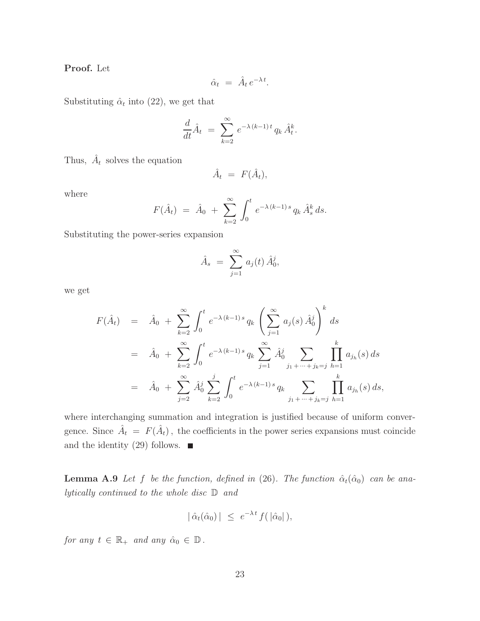Proof. Let

$$
\hat{\alpha}_t = \hat{A}_t e^{-\lambda t}.
$$

Substituting  $\hat{\alpha}_t$  into (22), we get that

$$
\frac{d}{dt}\hat{A}_t = \sum_{k=2}^{\infty} e^{-\lambda (k-1)t} q_k \hat{A}_t^k.
$$

Thus,  $\hat{A}_t$  solves the equation

$$
\hat{A}_t = F(\hat{A}_t),
$$

where

$$
F(\hat{A}_t) = \hat{A}_0 + \sum_{k=2}^{\infty} \int_0^t e^{-\lambda (k-1)s} q_k \hat{A}_s^k ds.
$$

Substituting the power-series expansion

$$
\hat{A}_s = \sum_{j=1}^{\infty} a_j(t) \,\hat{A}_0^j,
$$

we get

$$
F(\hat{A}_t) = \hat{A}_0 + \sum_{k=2}^{\infty} \int_0^t e^{-\lambda (k-1)s} q_k \left( \sum_{j=1}^{\infty} a_j(s) \hat{A}_0^j \right)^k ds
$$
  
\n
$$
= \hat{A}_0 + \sum_{k=2}^{\infty} \int_0^t e^{-\lambda (k-1)s} q_k \sum_{j=1}^{\infty} \hat{A}_0^j \sum_{j_1 + \dots + j_k = j} \prod_{h=1}^k a_{j_h}(s) ds
$$
  
\n
$$
= \hat{A}_0 + \sum_{j=2}^{\infty} \hat{A}_0^j \sum_{k=2}^j \int_0^t e^{-\lambda (k-1)s} q_k \sum_{j_1 + \dots + j_k = j} \prod_{h=1}^k a_{j_h}(s) ds,
$$

where interchanging summation and integration is justified because of uniform convergence. Since  $\hat{A}_t = F(\hat{A}_t)$ , the coefficients in the power series expansions must coincide and the identity (29) follows.  $\blacksquare$ 

**Lemma A.9** Let f be the function, defined in (26). The function  $\hat{\alpha}_t(\hat{\alpha}_0)$  can be analytically continued to the whole disc D and

$$
|\hat{\alpha}_t(\hat{\alpha}_0)| \leq e^{-\lambda t} f(|\hat{\alpha}_0|),
$$

for any  $t \in \mathbb{R}_+$  and any  $\hat{\alpha}_0 \in \mathbb{D}$ .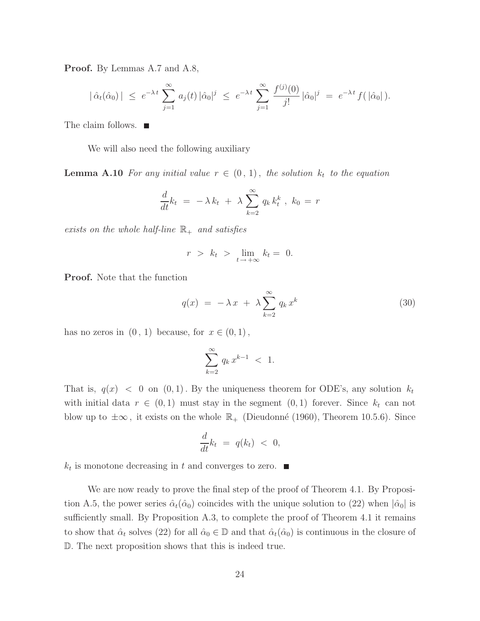Proof. By Lemmas A.7 and A.8,

$$
|\hat{\alpha}_t(\hat{\alpha}_0)| \leq e^{-\lambda t} \sum_{j=1}^{\infty} a_j(t) |\hat{\alpha}_0|^j \leq e^{-\lambda t} \sum_{j=1}^{\infty} \frac{f^{(j)}(0)}{j!} |\hat{\alpha}_0|^j = e^{-\lambda t} f(|\hat{\alpha}_0|).
$$

The claim follows. ■

We will also need the following auxiliary

**Lemma A.10** For any initial value  $r \in (0, 1)$ , the solution  $k_t$  to the equation

$$
\frac{d}{dt}k_t = -\lambda k_t + \lambda \sum_{k=2}^{\infty} q_k k_t^k, k_0 = r
$$

exists on the whole half-line  $\mathbb{R}_+$  and satisfies

$$
r > k_t > \lim_{t \to +\infty} k_t = 0.
$$

Proof. Note that the function

$$
q(x) = -\lambda x + \lambda \sum_{k=2}^{\infty} q_k x^k
$$
 (30)

has no zeros in  $(0, 1)$  because, for  $x \in (0, 1)$ ,

$$
\sum_{k=2}^{\infty} q_k x^{k-1} < 1.
$$

That is,  $q(x) < 0$  on  $(0, 1)$ . By the uniqueness theorem for ODE's, any solution  $k_t$ with initial data  $r \in (0,1)$  must stay in the segment  $(0,1)$  forever. Since  $k_t$  can not blow up to  $\pm\infty$ , it exists on the whole  $\mathbb{R}_+$  (Dieudonné (1960), Theorem 10.5.6). Since

$$
\frac{d}{dt}k_t = q(k_t) < 0,
$$

 $k_t$  is monotone decreasing in t and converges to zero.

We are now ready to prove the final step of the proof of Theorem 4.1. By Proposition A.5, the power series  $\hat{\alpha}_t(\hat{\alpha}_0)$  coincides with the unique solution to (22) when  $|\hat{\alpha}_0|$  is sufficiently small. By Proposition A.3, to complete the proof of Theorem 4.1 it remains to show that  $\hat{\alpha}_t$  solves (22) for all  $\hat{\alpha}_0 \in \mathbb{D}$  and that  $\hat{\alpha}_t(\hat{\alpha}_0)$  is continuous in the closure of D. The next proposition shows that this is indeed true.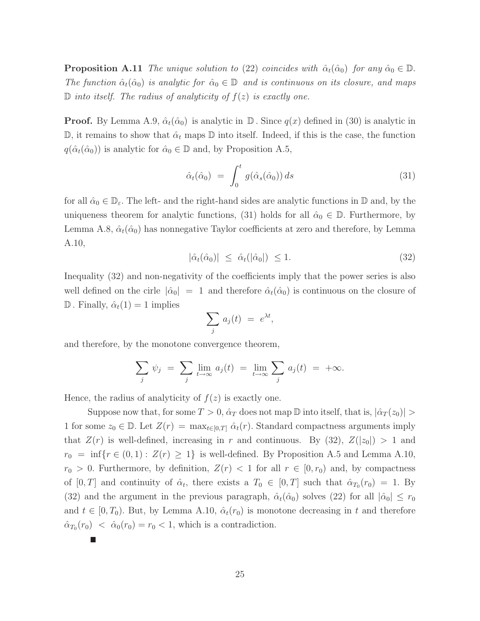**Proposition A.11** The unique solution to (22) coincides with  $\hat{\alpha}_t(\hat{\alpha}_0)$  for any  $\hat{\alpha}_0 \in \mathbb{D}$ . The function  $\hat{\alpha}_t(\hat{\alpha}_0)$  is analytic for  $\hat{\alpha}_0 \in \mathbb{D}$  and is continuous on its closure, and maps  $\mathbb D$  into itself. The radius of analyticity of  $f(z)$  is exactly one.

**Proof.** By Lemma A.9,  $\hat{\alpha}_t(\hat{\alpha}_0)$  is analytic in  $\mathbb{D}$ . Since  $q(x)$  defined in (30) is analytic in  $\mathbb{D}$ , it remains to show that  $\hat{\alpha}_t$  maps  $\mathbb{D}$  into itself. Indeed, if this is the case, the function  $q(\hat{\alpha}_t(\hat{\alpha}_0))$  is analytic for  $\hat{\alpha}_0 \in \mathbb{D}$  and, by Proposition A.5,

$$
\hat{\alpha}_t(\hat{\alpha}_0) = \int_0^t g(\hat{\alpha}_s(\hat{\alpha}_0)) ds \tag{31}
$$

for all  $\hat{\alpha}_0 \in \mathbb{D}_{\varepsilon}$ . The left- and the right-hand sides are analytic functions in  $\mathbb D$  and, by the uniqueness theorem for analytic functions, (31) holds for all  $\hat{\alpha}_0 \in \mathbb{D}$ . Furthermore, by Lemma A.8,  $\hat{\alpha}_t(\hat{\alpha}_0)$  has nonnegative Taylor coefficients at zero and therefore, by Lemma A.10,

$$
|\hat{\alpha}_t(\hat{\alpha}_0)| \leq \hat{\alpha}_t(|\hat{\alpha}_0|) \leq 1. \tag{32}
$$

Inequality (32) and non-negativity of the coefficients imply that the power series is also well defined on the cirle  $|\hat{\alpha}_0| = 1$  and therefore  $\hat{\alpha}_t(\hat{\alpha}_0)$  is continuous on the closure of  $\mathbb D$ . Finally,  $\hat{\alpha}_t(1) = 1$  implies

$$
\sum_j a_j(t) = e^{\lambda t},
$$

and therefore, by the monotone convergence theorem,

$$
\sum_{j} \psi_j = \sum_{j} \lim_{t \to \infty} a_j(t) = \lim_{t \to \infty} \sum_{j} a_j(t) = +\infty.
$$

Hence, the radius of analyticity of  $f(z)$  is exactly one.

Suppose now that, for some  $T > 0$ ,  $\hat{\alpha}_T$  does not map  $\mathbb D$  into itself, that is,  $|\hat{\alpha}_T(z_0)| >$ 1 for some  $z_0 \in \mathbb{D}$ . Let  $Z(r) = \max_{t \in [0,T]} \hat{\alpha}_t(r)$ . Standard compactness arguments imply that  $Z(r)$  is well-defined, increasing in r and continuous. By  $(32)$ ,  $Z(|z_0|) > 1$  and  $r_0 = \inf\{r \in (0,1): Z(r) \geq 1\}$  is well-defined. By Proposition A.5 and Lemma A.10,  $r_0 > 0$ . Furthermore, by definition,  $Z(r) < 1$  for all  $r \in [0, r_0)$  and, by compactness of  $[0, T]$  and continuity of  $\hat{\alpha}_t$ , there exists a  $T_0 \in [0, T]$  such that  $\hat{\alpha}_{T_0}(r_0) = 1$ . By (32) and the argument in the previous paragraph,  $\hat{\alpha}_t(\hat{\alpha}_0)$  solves (22) for all  $|\hat{\alpha}_0| \leq r_0$ and  $t \in [0, T_0)$ . But, by Lemma A.10,  $\hat{\alpha}_t(r_0)$  is monotone decreasing in t and therefore  $\hat{\alpha}_{T_0}(r_0) < \hat{\alpha}_0(r_0) = r_0 < 1$ , which is a contradiction.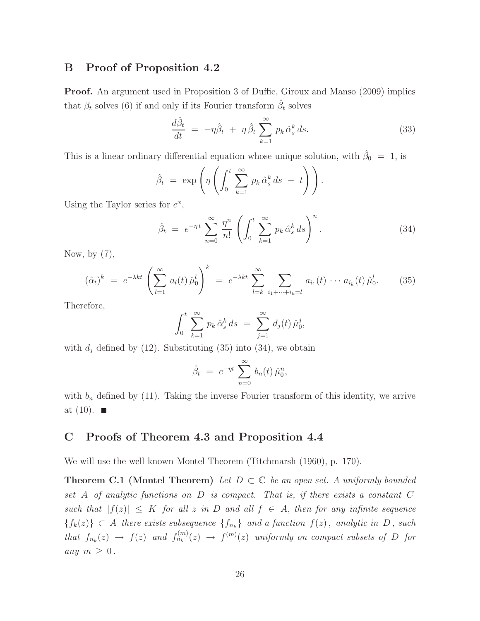### B Proof of Proposition 4.2

Proof. An argument used in Proposition 3 of Duffie, Giroux and Manso (2009) implies that  $\beta_t$  solves (6) if and only if its Fourier transform  $\hat{\beta}_t$  solves

$$
\frac{d\hat{\beta}_t}{dt} = -\eta \hat{\beta}_t + \eta \hat{\beta}_t \sum_{k=1}^{\infty} p_k \hat{\alpha}_s^k ds.
$$
\n(33)

This is a linear ordinary differential equation whose unique solution, with  $\hat{\beta}_0 = 1$ , is

$$
\hat{\beta}_t = \exp\left(\eta \left( \int_0^t \sum_{k=1}^\infty p_k \hat{\alpha}_s^k ds - t \right) \right).
$$

Using the Taylor series for  $e^x$ ,

$$
\hat{\beta}_t = e^{-\eta t} \sum_{n=0}^{\infty} \frac{\eta^n}{n!} \left( \int_0^t \sum_{k=1}^{\infty} p_k \hat{\alpha}_s^k ds \right)^n.
$$
 (34)

Now, by  $(7)$ ,

$$
(\hat{\alpha}_t)^k = e^{-\lambda kt} \left( \sum_{l=1}^{\infty} a_l(t) \hat{\mu}_0^l \right)^k = e^{-\lambda kt} \sum_{l=k}^{\infty} \sum_{i_1 + \dots + i_k = l} a_{i_1}(t) \cdots a_{i_k}(t) \hat{\mu}_0^l.
$$
 (35)

Therefore,

$$
\int_0^t \sum_{k=1}^\infty p_k \hat{\alpha}_s^k ds = \sum_{j=1}^\infty d_j(t) \hat{\mu}_0^j,
$$

with  $d_j$  defined by (12). Substituting (35) into (34), we obtain

$$
\hat{\beta}_t = e^{-\eta t} \sum_{n=0}^{\infty} b_n(t) \hat{\mu}_0^n,
$$

with  $b_n$  defined by (11). Taking the inverse Fourier transform of this identity, we arrive at  $(10)$ .

## C Proofs of Theorem 4.3 and Proposition 4.4

We will use the well known Montel Theorem (Titchmarsh (1960), p. 170).

**Theorem C.1 (Montel Theorem)** Let  $D \subset \mathbb{C}$  be an open set. A uniformly bounded set A of analytic functions on D is compact. That is, if there exists a constant C such that  $|f(z)| \leq K$  for all z in D and all  $f \in A$ , then for any infinite sequence  ${f_k(z)} \subset A$  there exists subsequence  ${f_{n_k}}$  and a function  $f(z)$ , analytic in D, such that  $f_{n_k}(z) \to f(z)$  and  $f_{n_k}^{(m)}(z) \to f^{(m)}(z)$  uniformly on compact subsets of D for any  $m \geq 0$ .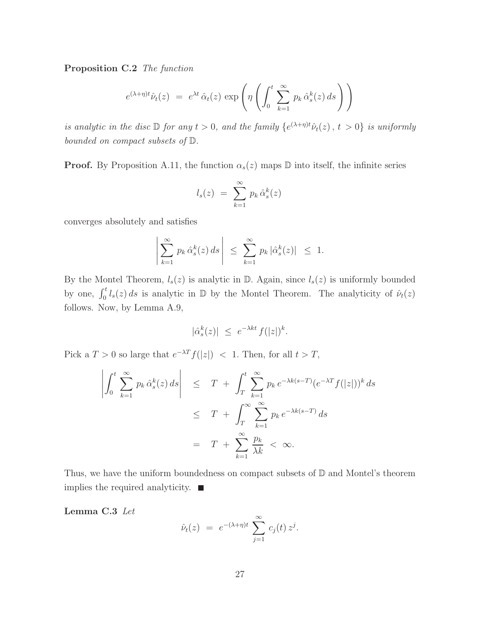Proposition C.2 The function

$$
e^{(\lambda+\eta)t}\hat{\nu}_t(z) = e^{\lambda t} \hat{\alpha}_t(z) \exp\left(\eta \left(\int_0^t \sum_{k=1}^\infty p_k \hat{\alpha}_s^k(z) ds\right)\right)
$$

is analytic in the disc  $\mathbb D$  for any  $t > 0$ , and the family  $\{e^{(\lambda + \eta)t}\hat{\nu}_t(z), t > 0\}$  is uniformly bounded on compact subsets of D.

**Proof.** By Proposition A.11, the function  $\alpha_s(z)$  maps  $\mathbb D$  into itself, the infinite series

$$
l_s(z) = \sum_{k=1}^{\infty} p_k \,\hat{\alpha}_s^k(z)
$$

converges absolutely and satisfies

$$
\left|\sum_{k=1}^{\infty} p_k \,\hat{\alpha}_s^k(z) \,ds\right| \ \leq \ \sum_{k=1}^{\infty} p_k \,|\hat{\alpha}_s^k(z)| \ \leq \ 1.
$$

By the Montel Theorem,  $l_s(z)$  is analytic in  $\mathbb D$ . Again, since  $l_s(z)$  is uniformly bounded by one,  $\int_0^t l_s(z) ds$  is analytic in  $\mathbb D$  by the Montel Theorem. The analyticity of  $\hat{\nu}_t(z)$ follows. Now, by Lemma A.9,

$$
|\hat{\alpha}_s^k(z)| \ \le \ e^{-\lambda kt} \, f(|z|)^k.
$$

Pick a  $T > 0$  so large that  $e^{-\lambda T} f(|z|) < 1$ . Then, for all  $t > T$ ,

$$
\left| \int_0^t \sum_{k=1}^\infty p_k \hat{\alpha}_s^k(z) ds \right| \leq T + \int_T^t \sum_{k=1}^\infty p_k e^{-\lambda k(s-T)} (e^{-\lambda T} f(|z|))^k ds
$$
  

$$
\leq T + \int_T^\infty \sum_{k=1}^\infty p_k e^{-\lambda k(s-T)} ds
$$
  

$$
= T + \sum_{k=1}^\infty \frac{p_k}{\lambda k} < \infty.
$$

Thus, we have the uniform boundedness on compact subsets of  $\mathbb D$  and Montel's theorem implies the required analyticity.  $\blacksquare$ 

Lemma C.3 Let

$$
\hat{\nu}_t(z) = e^{-(\lambda + \eta)t} \sum_{j=1}^{\infty} c_j(t) z^j.
$$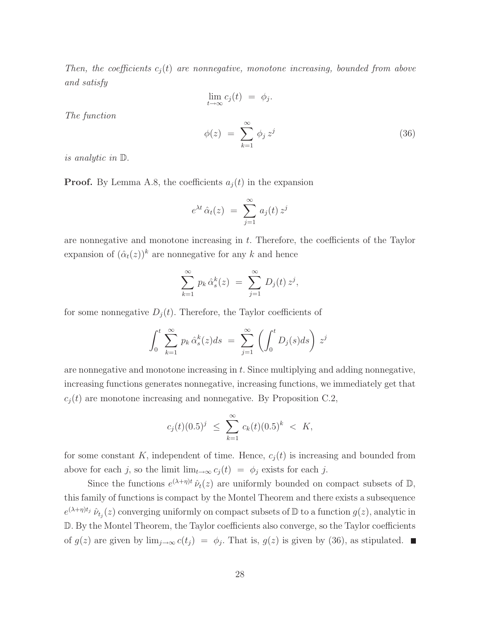Then, the coefficients  $c_i(t)$  are nonnegative, monotone increasing, bounded from above and satisfy

$$
\lim_{t \to \infty} c_j(t) = \phi_j.
$$
\n
$$
\phi(z) = \sum_{k=1}^{\infty} \phi_j z^j
$$
\n(36)

is analytic in D.

The function

**Proof.** By Lemma A.8, the coefficients  $a_i(t)$  in the expansion

$$
e^{\lambda t} \hat{\alpha}_t(z) = \sum_{j=1}^{\infty} a_j(t) z^j
$$

are nonnegative and monotone increasing in  $t$ . Therefore, the coefficients of the Taylor expansion of  $(\hat{\alpha}_t(z))^k$  are nonnegative for any k and hence

$$
\sum_{k=1}^{\infty} p_k \,\hat{\alpha}_s^k(z) = \sum_{j=1}^{\infty} D_j(t) \, z^j,
$$

for some nonnegative  $D_i(t)$ . Therefore, the Taylor coefficients of

$$
\int_0^t \sum_{k=1}^\infty p_k \,\hat{\alpha}_s^k(z)ds \ = \ \sum_{j=1}^\infty \left( \int_0^t D_j(s)ds \right) z^j
$$

are nonnegative and monotone increasing in  $t$ . Since multiplying and adding nonnegative, increasing functions generates nonnegative, increasing functions, we immediately get that  $c_j(t)$  are monotone increasing and nonnegative. By Proposition C.2,

$$
c_j(t)(0.5)^j \leq \sum_{k=1}^{\infty} c_k(t)(0.5)^k < K,
$$

for some constant K, independent of time. Hence,  $c_j(t)$  is increasing and bounded from above for each j, so the limit  $\lim_{t\to\infty} c_j(t) = \phi_j$  exists for each j.

Since the functions  $e^{(\lambda+\eta)t} \hat{\nu}_t(z)$  are uniformly bounded on compact subsets of  $\mathbb{D}$ , this family of functions is compact by the Montel Theorem and there exists a subsequence  $e^{(\lambda+\eta)t_j} \hat{\nu}_{t_j}(z)$  converging uniformly on compact subsets of  $\mathbb D$  to a function  $g(z)$ , analytic in D. By the Montel Theorem, the Taylor coefficients also converge, so the Taylor coefficients of  $g(z)$  are given by  $\lim_{j\to\infty} c(t_j) = \phi_j$ . That is,  $g(z)$  is given by (36), as stipulated.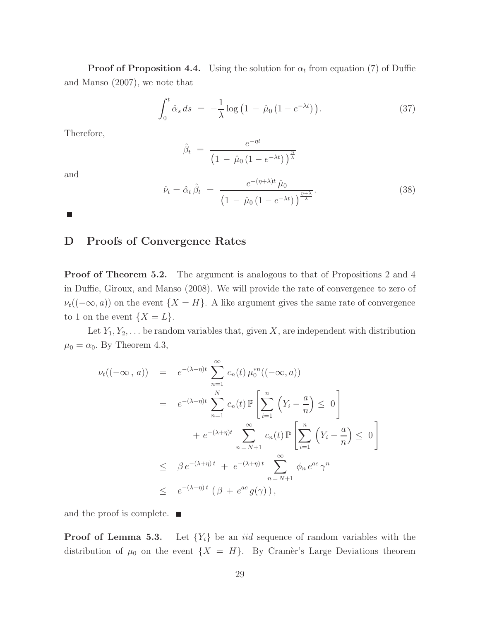**Proof of Proposition 4.4.** Using the solution for  $\alpha_t$  from equation (7) of Duffie and Manso (2007), we note that

$$
\int_0^t \hat{\alpha}_s \, ds \ = \ -\frac{1}{\lambda} \log \left( 1 \ - \ \hat{\mu}_0 \left( 1 - e^{-\lambda t} \right) \right). \tag{37}
$$

Therefore,

$$
\hat{\beta}_t = \frac{e^{-\eta t}}{\left(1 - \hat{\mu}_0 \left(1 - e^{-\lambda t}\right)\right)^{\frac{\eta}{\lambda}}}
$$

and

$$
\hat{\nu}_t = \hat{\alpha}_t \,\hat{\beta}_t = \frac{e^{-(\eta + \lambda)t} \,\hat{\mu}_0}{\left(1 - \hat{\mu}_0 \left(1 - e^{-\lambda t}\right)\right)^{\frac{\eta + \lambda}{\lambda}}}.\tag{38}
$$

 $\Box$ 

## D Proofs of Convergence Rates

**Proof of Theorem 5.2.** The argument is analogous to that of Propositions 2 and 4 in Duffie, Giroux, and Manso (2008). We will provide the rate of convergence to zero of  $\nu_t((-\infty, a))$  on the event  $\{X = H\}$ . A like argument gives the same rate of convergence to 1 on the event  $\{X = L\}.$ 

Let  $Y_1, Y_2, \ldots$  be random variables that, given X, are independent with distribution  $\mu_0 = \alpha_0$ . By Theorem 4.3,

$$
\nu_t((-\infty, a)) = e^{-(\lambda + \eta)t} \sum_{n=1}^{\infty} c_n(t) \mu_0^{*n}((-\infty, a))
$$
  
\n
$$
= e^{-(\lambda + \eta)t} \sum_{n=1}^N c_n(t) \mathbb{P}\left[\sum_{i=1}^n (Y_i - \frac{a}{n}) \le 0\right]
$$
  
\n
$$
+ e^{-(\lambda + \eta)t} \sum_{n=N+1}^{\infty} c_n(t) \mathbb{P}\left[\sum_{i=1}^n (Y_i - \frac{a}{n}) \le 0\right]
$$
  
\n
$$
\le \beta e^{-(\lambda + \eta)t} + e^{-(\lambda + \eta)t} \sum_{n=N+1}^{\infty} \phi_n e^{ac} \gamma^n
$$
  
\n
$$
\le e^{-(\lambda + \eta)t} (\beta + e^{ac} g(\gamma)),
$$

and the proof is complete.  $\blacksquare$ 

**Proof of Lemma 5.3.** Let  ${Y_i}$  be an *iid* sequence of random variables with the distribution of  $\mu_0$  on the event  $\{X = H\}$ . By Cramer's Large Deviations theorem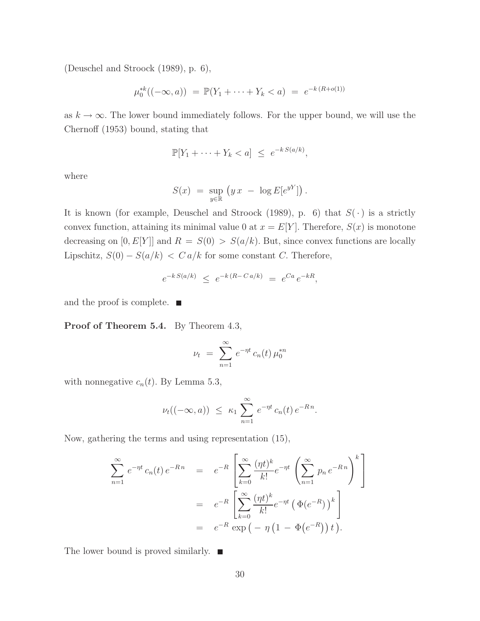(Deuschel and Stroock (1989), p. 6),

$$
\mu_0^{*k}((-\infty, a)) = \mathbb{P}(Y_1 + \dots + Y_k < a) = e^{-k(R + o(1))}
$$

as  $k \to \infty$ . The lower bound immediately follows. For the upper bound, we will use the Chernoff (1953) bound, stating that

$$
\mathbb{P}[Y_1 + \dots + Y_k < a] \leq e^{-k \cdot S(a/k)},
$$

where

$$
S(x) = \sup_{y \in \mathbb{R}} (y x - \log E[e^{yY}]).
$$

It is known (for example, Deuschel and Stroock (1989), p. 6) that  $S(\cdot)$  is a strictly convex function, attaining its minimal value 0 at  $x = E[Y]$ . Therefore,  $S(x)$  is monotone decreasing on  $[0, E[Y]]$  and  $R = S(0) > S(a/k)$ . But, since convex functions are locally Lipschitz,  $S(0) - S(a/k) < C a/k$  for some constant C. Therefore,

$$
e^{-k S(a/k)} \leq e^{-k(R - Ca/k)} = e^{Ca} e^{-kR},
$$

and the proof is complete.  $\blacksquare$ 

Proof of Theorem 5.4. By Theorem 4.3,

$$
\nu_t = \sum_{n=1}^{\infty} e^{-\eta t} c_n(t) \mu_0^{*n}
$$

with nonnegative  $c_n(t)$ . By Lemma 5.3,

$$
\nu_t((-\infty, a)) \leq \kappa_1 \sum_{n=1}^{\infty} e^{-\eta t} c_n(t) e^{-Rn}.
$$

Now, gathering the terms and using representation (15),

$$
\sum_{n=1}^{\infty} e^{-\eta t} c_n(t) e^{-Rn} = e^{-R} \left[ \sum_{k=0}^{\infty} \frac{(\eta t)^k}{k!} e^{-\eta t} \left( \sum_{n=1}^{\infty} p_n e^{-Rn} \right)^k \right]
$$
  
=  $e^{-R} \left[ \sum_{k=0}^{\infty} \frac{(\eta t)^k}{k!} e^{-\eta t} \left( \Phi(e^{-R}) \right)^k \right]$   
=  $e^{-R} \exp \left( -\eta \left( 1 - \Phi(e^{-R}) \right) t \right).$ 

The lower bound is proved similarly.  $\blacksquare$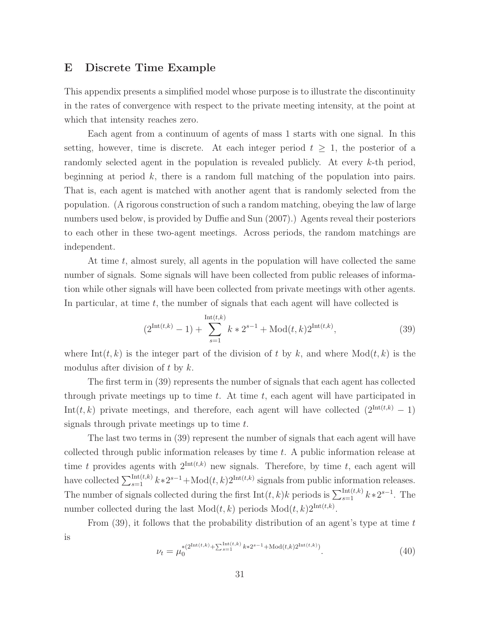### E Discrete Time Example

This appendix presents a simplified model whose purpose is to illustrate the discontinuity in the rates of convergence with respect to the private meeting intensity, at the point at which that intensity reaches zero.

Each agent from a continuum of agents of mass 1 starts with one signal. In this setting, however, time is discrete. At each integer period  $t \geq 1$ , the posterior of a randomly selected agent in the population is revealed publicly. At every  $k$ -th period, beginning at period  $k$ , there is a random full matching of the population into pairs. That is, each agent is matched with another agent that is randomly selected from the population. (A rigorous construction of such a random matching, obeying the law of large numbers used below, is provided by Duffie and Sun (2007).) Agents reveal their posteriors to each other in these two-agent meetings. Across periods, the random matchings are independent.

At time t, almost surely, all agents in the population will have collected the same number of signals. Some signals will have been collected from public releases of information while other signals will have been collected from private meetings with other agents. In particular, at time  $t$ , the number of signals that each agent will have collected is

$$
(2^{\text{Int}(t,k)} - 1) + \sum_{s=1}^{\text{Int}(t,k)} k * 2^{s-1} + \text{Mod}(t,k) 2^{\text{Int}(t,k)},
$$
\n(39)

where Int $(t, k)$  is the integer part of the division of t by k, and where  $Mod(t, k)$  is the modulus after division of t by  $k$ .

The first term in (39) represents the number of signals that each agent has collected through private meetings up to time  $t$ . At time  $t$ , each agent will have participated in Int(t, k) private meetings, and therefore, each agent will have collected  $(2^{\text{Int}(t,k)} - 1)$ signals through private meetings up to time  $t$ .

The last two terms in (39) represent the number of signals that each agent will have collected through public information releases by time  $t$ . A public information release at time t provides agents with  $2^{\text{Int}(t,k)}$  new signals. Therefore, by time t, each agent will have collected  $\sum_{s=1}^{\text{Int}(t,k)} k*2^{s-1}+\text{Mod}(t,k)2^{\text{Int}(t,k)}$  signals from public information releases. The number of signals collected during the first  $Int(t, k)k$  periods is  $\sum_{s=1}^{Int(t, k)} k*2^{s-1}$ . The number collected during the last  $Mod(t, k)$  periods  $Mod(t, k)2<sup>Int(t, k)</sup>$ .

From  $(39)$ , it follows that the probability distribution of an agent's type at time t is

$$
\nu_t = \mu_0^{*(2^{\text{Int}(t,k)} + \sum_{s=1}^{\text{Int}(t,k)} k * 2^{s-1} + \text{Mod}(t,k)2^{\text{Int}(t,k)})}.
$$
\n(40)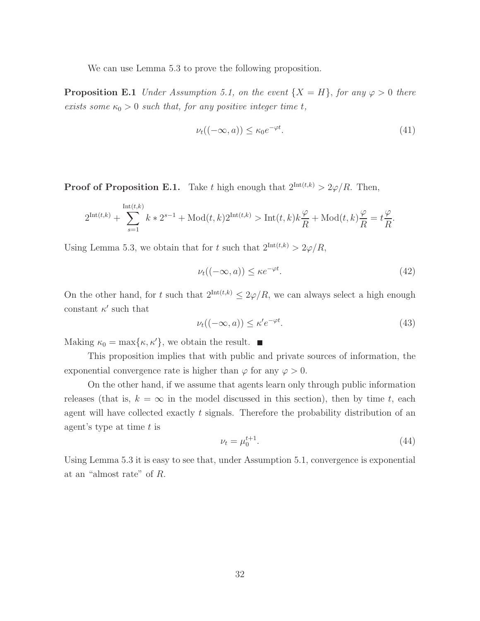We can use Lemma 5.3 to prove the following proposition.

**Proposition E.1** Under Assumption 5.1, on the event  $\{X = H\}$ , for any  $\varphi > 0$  there exists some  $\kappa_0 > 0$  such that, for any positive integer time t,

$$
\nu_t((-\infty, a)) \le \kappa_0 e^{-\varphi t}.\tag{41}
$$

**Proof of Proposition E.1.** Take t high enough that  $2^{\text{Int}(t,k)} > 2\varphi/R$ . Then,

$$
2^{\text{Int}(t,k)} + \sum_{s=1}^{\text{Int}(t,k)} k * 2^{s-1} + \text{Mod}(t,k)2^{\text{Int}(t,k)} > \text{Int}(t,k)k\frac{\varphi}{R} + \text{Mod}(t,k)\frac{\varphi}{R} = t\frac{\varphi}{R}.
$$

Using Lemma 5.3, we obtain that for t such that  $2^{\text{Int}(t,k)} > 2\varphi/R$ ,

$$
\nu_t((-\infty, a)) \le \kappa e^{-\varphi t}.\tag{42}
$$

On the other hand, for t such that  $2^{\text{Int}(t,k)} \leq 2\varphi/R$ , we can always select a high enough constant  $\kappa'$  such that

$$
\nu_t((-\infty, a)) \le \kappa' e^{-\varphi t}.\tag{43}
$$

Making  $\kappa_0 = \max{\kappa, \kappa' }$ , we obtain the result.

This proposition implies that with public and private sources of information, the exponential convergence rate is higher than  $\varphi$  for any  $\varphi > 0$ .

On the other hand, if we assume that agents learn only through public information releases (that is,  $k = \infty$  in the model discussed in this section), then by time t, each agent will have collected exactly  $t$  signals. Therefore the probability distribution of an agent's type at time  $t$  is

$$
\nu_t = \mu_0^{t+1}.\tag{44}
$$

Using Lemma 5.3 it is easy to see that, under Assumption 5.1, convergence is exponential at an "almost rate" of R.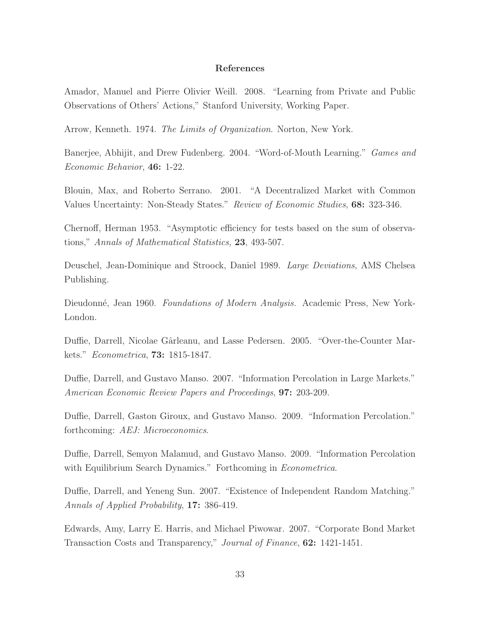### References

Amador, Manuel and Pierre Olivier Weill. 2008. "Learning from Private and Public Observations of Others' Actions," Stanford University, Working Paper.

Arrow, Kenneth. 1974. The Limits of Organization. Norton, New York.

Banerjee, Abhijit, and Drew Fudenberg. 2004. "Word-of-Mouth Learning." Games and Economic Behavior, 46: 1-22.

Blouin, Max, and Roberto Serrano. 2001. "A Decentralized Market with Common Values Uncertainty: Non-Steady States." Review of Economic Studies, 68: 323-346.

Chernoff, Herman 1953. "Asymptotic efficiency for tests based on the sum of observations," Annals of Mathematical Statistics, 23, 493-507.

Deuschel, Jean-Dominique and Stroock, Daniel 1989. Large Deviations, AMS Chelsea Publishing.

Dieudonné, Jean 1960. *Foundations of Modern Analysis.* Academic Press, New York-London.

Duffie, Darrell, Nicolae Gârleanu, and Lasse Pedersen. 2005. "Over-the-Counter Markets." Econometrica, **73:** 1815-1847.

Duffie, Darrell, and Gustavo Manso. 2007. "Information Percolation in Large Markets." American Economic Review Papers and Proceedings, 97: 203-209.

Duffie, Darrell, Gaston Giroux, and Gustavo Manso. 2009. "Information Percolation." forthcoming: AEJ: Microeconomics.

Duffie, Darrell, Semyon Malamud, and Gustavo Manso. 2009. "Information Percolation with Equilibrium Search Dynamics." Forthcoming in *Econometrica*.

Duffie, Darrell, and Yeneng Sun. 2007. "Existence of Independent Random Matching." Annals of Applied Probability, 17: 386-419.

Edwards, Amy, Larry E. Harris, and Michael Piwowar. 2007. "Corporate Bond Market Transaction Costs and Transparency," Journal of Finance, 62: 1421-1451.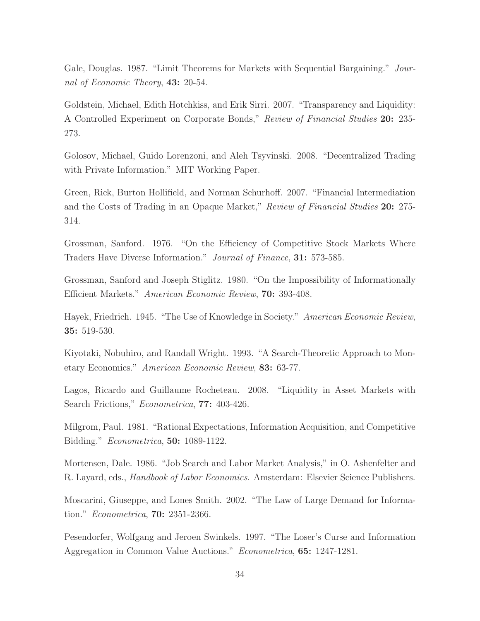Gale, Douglas. 1987. "Limit Theorems for Markets with Sequential Bargaining." Journal of Economic Theory, 43: 20-54.

Goldstein, Michael, Edith Hotchkiss, and Erik Sirri. 2007. "Transparency and Liquidity: A Controlled Experiment on Corporate Bonds," Review of Financial Studies 20: 235- 273.

Golosov, Michael, Guido Lorenzoni, and Aleh Tsyvinski. 2008. "Decentralized Trading with Private Information." MIT Working Paper.

Green, Rick, Burton Hollifield, and Norman Schurhoff. 2007. "Financial Intermediation and the Costs of Trading in an Opaque Market," Review of Financial Studies 20: 275-314.

Grossman, Sanford. 1976. "On the Efficiency of Competitive Stock Markets Where Traders Have Diverse Information." *Journal of Finance*, **31:** 573-585.

Grossman, Sanford and Joseph Stiglitz. 1980. "On the Impossibility of Informationally Efficient Markets." American Economic Review, 70: 393-408.

Hayek, Friedrich. 1945. "The Use of Knowledge in Society." American Economic Review, 35: 519-530.

Kiyotaki, Nobuhiro, and Randall Wright. 1993. "A Search-Theoretic Approach to Monetary Economics." American Economic Review, 83: 63-77.

Lagos, Ricardo and Guillaume Rocheteau. 2008. "Liquidity in Asset Markets with Search Frictions," *Econometrica*, **77:** 403-426.

Milgrom, Paul. 1981. "Rational Expectations, Information Acquisition, and Competitive Bidding." Econometrica, 50: 1089-1122.

Mortensen, Dale. 1986. "Job Search and Labor Market Analysis," in O. Ashenfelter and R. Layard, eds., Handbook of Labor Economics. Amsterdam: Elsevier Science Publishers.

Moscarini, Giuseppe, and Lones Smith. 2002. "The Law of Large Demand for Information." Econometrica, 70: 2351-2366.

Pesendorfer, Wolfgang and Jeroen Swinkels. 1997. "The Loser's Curse and Information Aggregation in Common Value Auctions." Econometrica, 65: 1247-1281.